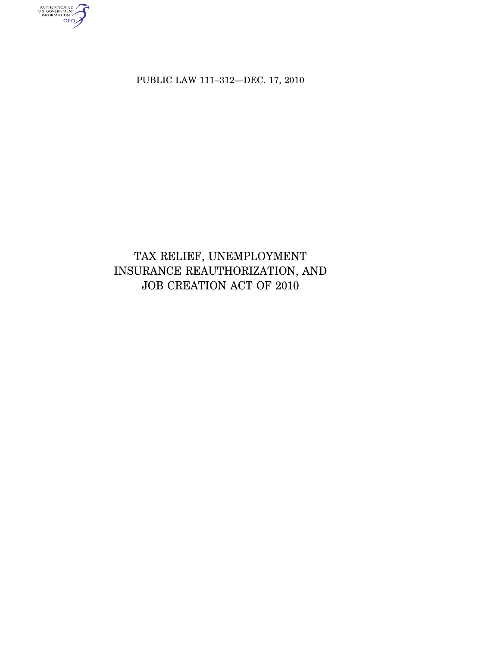PUBLIC LAW 111–312—DEC. 17, 2010

authenticated<br>u.s. government<br>information<br>GPO

# TAX RELIEF, UNEMPLOYMENT INSURANCE REAUTHORIZATION, AND JOB CREATION ACT OF 2010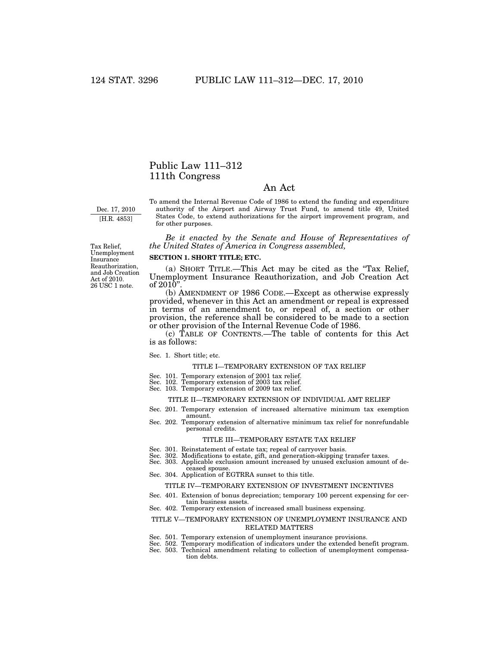## Public Law 111–312 111th Congress

## An Act

Dec. 17, 2010 [H.R. 4853]

To amend the Internal Revenue Code of 1986 to extend the funding and expenditure authority of the Airport and Airway Trust Fund, to amend title 49, United States Code, to extend authorizations for the airport improvement program, and for other purposes.

*Be it enacted by the Senate and House of Representatives of the United States of America in Congress assembled,* 

## **SECTION 1. SHORT TITLE; ETC.**

(a) SHORT TITLE.—This Act may be cited as the ''Tax Relief, Unemployment Insurance Reauthorization, and Job Creation Act of  $2010"$ .

(b) AMENDMENT OF 1986 CODE.—Except as otherwise expressly provided, whenever in this Act an amendment or repeal is expressed in terms of an amendment to, or repeal of, a section or other provision, the reference shall be considered to be made to a section or other provision of the Internal Revenue Code of 1986.

(c) TABLE OF CONTENTS.—The table of contents for this Act is as follows:

#### Sec. 1. Short title; etc.

## TITLE I—TEMPORARY EXTENSION OF TAX RELIEF

- Sec. 101. Temporary extension of 2001 tax relief.
- Sec. 102. Temporary extension of 2003 tax relief. Sec. 103. Temporary extension of 2009 tax relief.
- 

## TITLE II—TEMPORARY EXTENSION OF INDIVIDUAL AMT RELIEF

- Sec. 201. Temporary extension of increased alternative minimum tax exemption amount.
- Sec. 202. Temporary extension of alternative minimum tax relief for nonrefundable personal credits.

#### TITLE III—TEMPORARY ESTATE TAX RELIEF

- Sec. 301. Reinstatement of estate tax; repeal of carryover basis.
- Sec. 302. Modifications to estate, gift, and generation-skipping transfer taxes.
- Sec. 303. Applicable exclusion amount increased by unused exclusion amount of deceased spouse.
- Sec. 304. Application of EGTRRA sunset to this title.

## TITLE IV—TEMPORARY EXTENSION OF INVESTMENT INCENTIVES

- Sec. 401. Extension of bonus depreciation; temporary 100 percent expensing for certain business assets.
- Sec. 402. Temporary extension of increased small business expensing.

## TITLE V—TEMPORARY EXTENSION OF UNEMPLOYMENT INSURANCE AND RELATED MATTERS

- Sec. 501. Temporary extension of unemployment insurance provisions.
- Sec. 502. Temporary modification of indicators under the extended benefit program. Sec. 503. Technical amendment relating to collection of unemployment compensa-
- tion debts.

26 USC 1 note. Tax Relief, Unemployment Insurance Reauthorization, and Job Creation Act of 2010.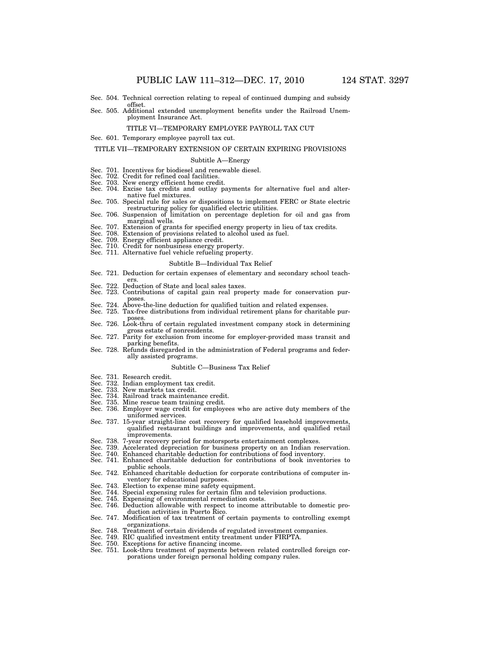- Sec. 504. Technical correction relating to repeal of continued dumping and subsidy offset.
- Sec. 505. Additional extended unemployment benefits under the Railroad Unemployment Insurance Act.

#### TITLE VI—TEMPORARY EMPLOYEE PAYROLL TAX CUT

Sec. 601. Temporary employee payroll tax cut.

#### TITLE VII—TEMPORARY EXTENSION OF CERTAIN EXPIRING PROVISIONS

#### Subtitle A—Energy

- Sec. 701. Incentives for biodiesel and renewable diesel. Sec. 702. Credit for refined coal facilities.
- 
- Sec. 703. New energy efficient home credit.
- Sec. 704. Excise tax credits and outlay payments for alternative fuel and alternative fuel mixtures.
- Sec. 705. Special rule for sales or dispositions to implement FERC or State electric restructuring policy for qualified electric utilities. Sec. 706. Suspension of limitation on percentage depletion for oil and gas from
- marginal wells.
- Sec. 707. Extension of grants for specified energy property in lieu of tax credits. Sec. 708. Extension of provisions related to alcohol used as fuel.
- 
- Sec. 709. Energy efficient appliance credit.
- 
- Sec. 710. Credit for nonbusiness energy property. Sec. 711. Alternative fuel vehicle refueling property.

#### Subtitle B—Individual Tax Relief

- Sec. 721. Deduction for certain expenses of elementary and secondary school teach-
- ers. Sec. 722. Deduction of State and local sales taxes.
- Sec. 723. Contributions of capital gain real property made for conservation purposes.
- Sec. 724. Above-the-line deduction for qualified tuition and related expenses.
- Sec. 725. Tax-free distributions from individual retirement plans for charitable purposes.
- Sec. 726. Look-thru of certain regulated investment company stock in determining gross estate of nonresidents. Sec. 727. Parity for exclusion from income for employer-provided mass transit and
- parking benefits.
- Sec. 728. Refunds disregarded in the administration of Federal programs and federally assisted programs.

#### Subtitle C—Business Tax Relief

- 
- Sec. 731. Research credit. Sec. 732. Indian employment tax credit.
- Sec. 733. New markets tax credit.
- Sec. 734. Railroad track maintenance credit.
- Sec. 735. Mine rescue team training credit.
- Sec. 736. Employer wage credit for employees who are active duty members of the uniformed services.
- Sec. 737. 15-year straight-line cost recovery for qualified leasehold improvements, qualified restaurant buildings and improvements, and qualified retail improvements.
- Sec. 738. 7-year recovery period for motorsports entertainment complexes.
- Sec. 739. Accelerated depreciation for business property on an Indian reservation.
- Sec. 740. Enhanced charitable deduction for contributions of food inventory. Sec. 741. Enhanced charitable deduction for contributions of book inventories to
- public schools.
- Sec. 742. Enhanced charitable deduction for corporate contributions of computer inventory for educational purposes.
- Sec. 743. Election to expense mine safety equipment.
- Sec. 744. Special expensing rules for certain film and television productions.
- Sec. 745. Expensing of environmental remediation costs.
- Sec. 746. Deduction allowable with respect to income attributable to domestic production activities in Puerto Rico.
- Sec. 747. Modification of tax treatment of certain payments to controlling exempt organizations.
- Sec. 748. Treatment of certain dividends of regulated investment companies.
- Sec. 749. RIC qualified investment entity treatment under FIRPTA. Sec. 750. Exceptions for active financing income.
- 
- Sec. 751. Look-thru treatment of payments between related controlled foreign corporations under foreign personal holding company rules.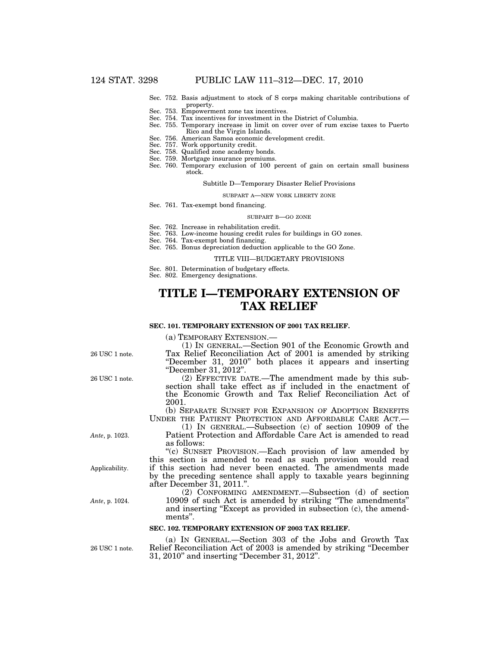- Sec. 752. Basis adjustment to stock of S corps making charitable contributions of property.
- Sec. 753. Empowerment zone tax incentives.
- Sec. 754. Tax incentives for investment in the District of Columbia.
- Sec. 755. Temporary increase in limit on cover over of rum excise taxes to Puerto Rico and the Virgin Islands.
- Sec. 756. American Samoa economic development credit.
- Sec. 757. Work opportunity credit.
- Sec. 758. Qualified zone academy bonds.
- Sec. 759. Mortgage insurance premiums.
- Sec. 760. Temporary exclusion of 100 percent of gain on certain small business stock.

#### Subtitle D—Temporary Disaster Relief Provisions

#### SUBPART A—NEW YORK LIBERTY ZONE

Sec. 761. Tax-exempt bond financing.

#### SUBPART B—GO ZONE

- Sec. 762. Increase in rehabilitation credit.
- Sec. 763. Low-income housing credit rules for buildings in GO zones.
- Sec. 764. Tax-exempt bond financing.
- Sec. 765. Bonus depreciation deduction applicable to the GO Zone.

#### TITLE VIII—BUDGETARY PROVISIONS

Sec. 801. Determination of budgetary effects.

Sec. 802. Emergency designations.

''December 31, 2012''.

# **TITLE I—TEMPORARY EXTENSION OF TAX RELIEF**

### **SEC. 101. TEMPORARY EXTENSION OF 2001 TAX RELIEF.**

(a) TEMPORARY EXTENSION.— (1) IN GENERAL.—Section 901 of the Economic Growth and

26 USC 1 note.

(2) EFFECTIVE DATE.—The amendment made by this subsection shall take effect as if included in the enactment of the Economic Growth and Tax Relief Reconciliation Act of 2001.

Tax Relief Reconciliation Act of 2001 is amended by striking ''December 31, 2010'' both places it appears and inserting

(b) SEPARATE SUNSET FOR EXPANSION OF ADOPTION BENEFITS UNDER THE PATIENT PROTECTION AND AFFORDABLE CARE ACT.—

(1) IN GENERAL.—Subsection (c) of section 10909 of the Patient Protection and Affordable Care Act is amended to read as follows:

''(c) SUNSET PROVISION.—Each provision of law amended by this section is amended to read as such provision would read if this section had never been enacted. The amendments made by the preceding sentence shall apply to taxable years beginning after December 31, 2011.''.

(2) CONFORMING AMENDMENT.—Subsection (d) of section 10909 of such Act is amended by striking ''The amendments'' and inserting "Except as provided in subsection (c), the amendments''.

### **SEC. 102. TEMPORARY EXTENSION OF 2003 TAX RELIEF.**

26 USC 1 note.

(a) IN GENERAL.—Section 303 of the Jobs and Growth Tax Relief Reconciliation Act of 2003 is amended by striking ''December 31, 2010'' and inserting ''December 31, 2012''.

26 USC 1 note.

*Ante*, p. 1023.

Applicability.

*Ante*, p. 1024.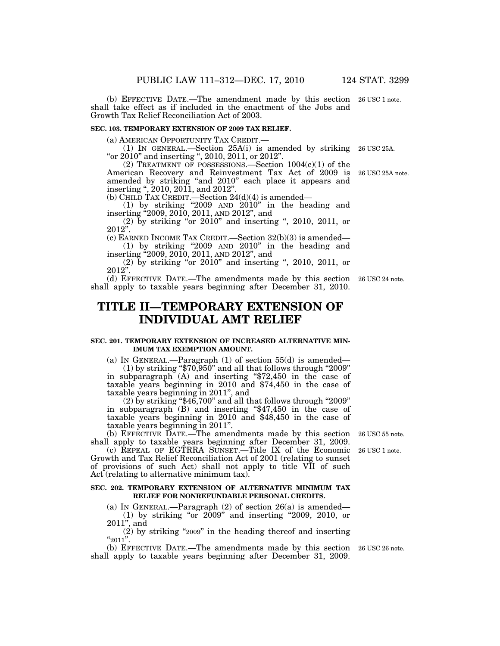(b) EFFECTIVE DATE.—The amendment made by this section 26 USC 1 note. shall take effect as if included in the enactment of the Jobs and Growth Tax Relief Reconciliation Act of 2003.

## **SEC. 103. TEMPORARY EXTENSION OF 2009 TAX RELIEF.**

(a) AMERICAN OPPORTUNITY TAX CREDIT.— (1) IN GENERAL.—Section 25A(i) is amended by striking 26 USC 25A. "or  $2010$ " and inserting ",  $2010$ ,  $2011$ , or  $2012$ ".

(2) TREATMENT OF POSSESSIONS.—Section 1004(c)(1) of the American Recovery and Reinvestment Tax Act of 2009 is amended by striking ''and 2010'' each place it appears and inserting '', 2010, 2011, and 2012''.

(b) CHILD TAX CREDIT.—Section  $24(d)(4)$  is amended—

(1) by striking ''2009 AND 2010'' in the heading and inserting ''2009, 2010, 2011, AND 2012'', and

(2) by striking ''or 2010'' and inserting '', 2010, 2011, or  $2012$ ".

(c) EARNED INCOME TAX CREDIT.—Section 32(b)(3) is amended— (1) by striking ''2009 AND 2010'' in the heading and inserting ''2009, 2010, 2011, AND 2012'', and

(2) by striking "or 2010" and inserting ", 2010, 2011, or  $2012$ ".

(d) EFFECTIVE DATE.—The amendments made by this section 26 USC 24 note. shall apply to taxable years beginning after December 31, 2010.

## **TITLE II—TEMPORARY EXTENSION OF INDIVIDUAL AMT RELIEF**

### **SEC. 201. TEMPORARY EXTENSION OF INCREASED ALTERNATIVE MIN-IMUM TAX EXEMPTION AMOUNT.**

(a) IN GENERAL.—Paragraph  $(1)$  of section  $55(d)$  is amended—

 $(1)$  by striking "\$70,950" and all that follows through "2009" in subparagraph (A) and inserting ''\$72,450 in the case of taxable years beginning in 2010 and \$74,450 in the case of taxable years beginning in 2011'', and

 $(2)$  by striking "\$46,700" and all that follows through "2009" in subparagraph (B) and inserting ''\$47,450 in the case of taxable years beginning in 2010 and \$48,450 in the case of taxable years beginning in 2011''.

(b) EFFECTIVE DATE.—The amendments made by this section 26 USC 55 note. shall apply to taxable years beginning after December 31, 2009.

(c) REPEAL OF EGTRRA SUNSET.—Title IX of the Economic Growth and Tax Relief Reconciliation Act of 2001 (relating to sunset of provisions of such Act) shall not apply to title VII of such Act (relating to alternative minimum tax).

#### **SEC. 202. TEMPORARY EXTENSION OF ALTERNATIVE MINIMUM TAX RELIEF FOR NONREFUNDABLE PERSONAL CREDITS.**

(a) IN GENERAL.—Paragraph  $(2)$  of section  $26(a)$  is amended— (1) by striking "or 2009" and inserting "2009, 2010, or 2011'', and

 $(2)$  by striking "2009" in the heading thereof and inserting  $"2011"$ .

(b) EFFECTIVE DATE.—The amendments made by this section 26 USC 26 note. shall apply to taxable years beginning after December 31, 2009.

26 USC 1 note.

26 USC 25A note.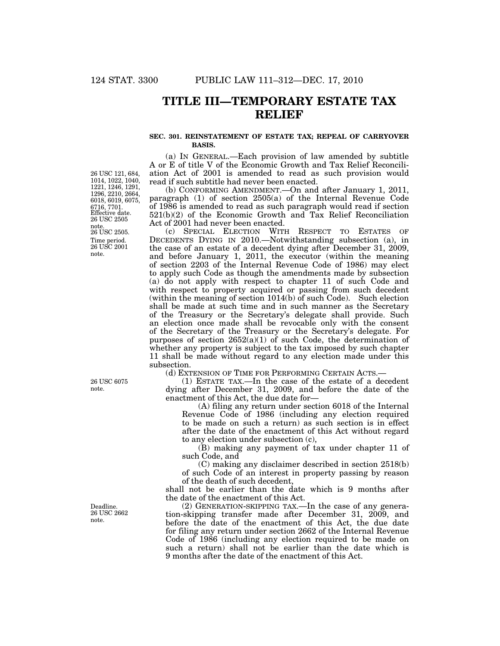## **TITLE III—TEMPORARY ESTATE TAX RELIEF**

## **SEC. 301. REINSTATEMENT OF ESTATE TAX; REPEAL OF CARRYOVER BASIS.**

(a) IN GENERAL.—Each provision of law amended by subtitle A or E of title V of the Economic Growth and Tax Relief Reconciliation Act of 2001 is amended to read as such provision would read if such subtitle had never been enacted.

(b) CONFORMING AMENDMENT.—On and after January 1, 2011, paragraph (1) of section 2505(a) of the Internal Revenue Code of 1986 is amended to read as such paragraph would read if section 521(b)(2) of the Economic Growth and Tax Relief Reconciliation Act of 2001 had never been enacted.

(c) SPECIAL ELECTION WITH RESPECT TO ESTATES OF DECEDENTS DYING IN 2010.—Notwithstanding subsection (a), in the case of an estate of a decedent dying after December 31, 2009, and before January 1, 2011, the executor (within the meaning of section 2203 of the Internal Revenue Code of 1986) may elect to apply such Code as though the amendments made by subsection (a) do not apply with respect to chapter 11 of such Code and with respect to property acquired or passing from such decedent (within the meaning of section 1014(b) of such Code). Such election shall be made at such time and in such manner as the Secretary of the Treasury or the Secretary's delegate shall provide. Such an election once made shall be revocable only with the consent of the Secretary of the Treasury or the Secretary's delegate. For purposes of section  $2652(a)(1)$  of such Code, the determination of whether any property is subject to the tax imposed by such chapter 11 shall be made without regard to any election made under this subsection.

(d) EXTENSION OF TIME FOR PERFORMING CERTAIN ACTS.—

(1) ESTATE TAX.—In the case of the estate of a decedent dying after December 31, 2009, and before the date of the enactment of this Act, the due date for—

(A) filing any return under section 6018 of the Internal Revenue Code of 1986 (including any election required to be made on such a return) as such section is in effect after the date of the enactment of this Act without regard to any election under subsection (c),

(B) making any payment of tax under chapter 11 of such Code, and

(C) making any disclaimer described in section 2518(b) of such Code of an interest in property passing by reason of the death of such decedent,

shall not be earlier than the date which is 9 months after the date of the enactment of this Act.

(2) GENERATION-SKIPPING TAX.—In the case of any generation-skipping transfer made after December 31, 2009, and before the date of the enactment of this Act, the due date for filing any return under section 2662 of the Internal Revenue Code of 1986 (including any election required to be made on such a return) shall not be earlier than the date which is 9 months after the date of the enactment of this Act.

Time period. 26 USC 2001 note. 26 USC 2505. Effective date. 26 USC 2505 note. 26 USC 121, 684, 1014, 1022, 1040, 1221, 1246, 1291, 1296, 2210, 2664, 6018, 6019, 6075, 6716, 7701.

26 USC 6075 note.

Deadline. 26 USC 2662 note.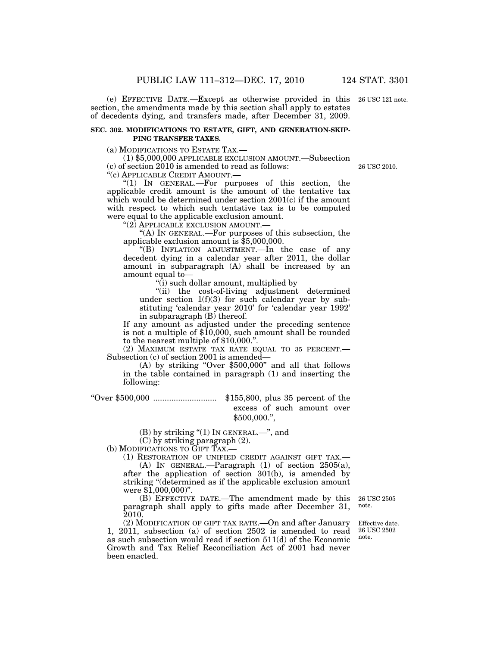(e) EFFECTIVE DATE.—Except as otherwise provided in this section, the amendments made by this section shall apply to estates of decedents dying, and transfers made, after December 31, 2009.

## **SEC. 302. MODIFICATIONS TO ESTATE, GIFT, AND GENERATION-SKIP-PING TRANSFER TAXES.**

(a) MODIFICATIONS TO ESTATE TAX.—

(1) \$5,000,000 APPLICABLE EXCLUSION AMOUNT.—Subsection (c) of section 2010 is amended to read as follows:

''(c) APPLICABLE CREDIT AMOUNT.—

''(1) IN GENERAL.—For purposes of this section, the applicable credit amount is the amount of the tentative tax which would be determined under section 2001(c) if the amount with respect to which such tentative tax is to be computed were equal to the applicable exclusion amount.

"(2) APPLICABLE EXCLUSION AMOUNT.

''(A) IN GENERAL.—For purposes of this subsection, the applicable exclusion amount is \$5,000,000.

''(B) INFLATION ADJUSTMENT.—In the case of any decedent dying in a calendar year after 2011, the dollar amount in subparagraph (A) shall be increased by an amount equal to—

''(i) such dollar amount, multiplied by

''(ii) the cost-of-living adjustment determined under section  $1(f)(3)$  for such calendar year by substituting 'calendar year 2010' for 'calendar year 1992' in subparagraph (B) thereof.

If any amount as adjusted under the preceding sentence is not a multiple of \$10,000, such amount shall be rounded to the nearest multiple of \$10,000.''.

(2) MAXIMUM ESTATE TAX RATE EQUAL TO 35 PERCENT.— Subsection (c) of section 2001 is amended—

(A) by striking ''Over \$500,000'' and all that follows in the table contained in paragraph (1) and inserting the following:

''Over \$500,000 ............................ \$155,800, plus 35 percent of the excess of such amount over \$500,000.'',

 $(B)$  by striking " $(1)$  In GENERAL.—", and

(C) by striking paragraph (2).

(b) MODIFICATIONS TO GIFT TAX.—

(1) RESTORATION OF UNIFIED CREDIT AGAINST GIFT TAX.—

(A) IN GENERAL.—Paragraph (1) of section 2505(a), after the application of section 301(b), is amended by striking ''(determined as if the applicable exclusion amount were \$1,000,000)''.

(B) EFFECTIVE DATE.—The amendment made by this paragraph shall apply to gifts made after December 31, 2010. 26 USC 2505 note.

(2) MODIFICATION OF GIFT TAX RATE.—On and after January 1, 2011, subsection (a) of section 2502 is amended to read as such subsection would read if section 511(d) of the Economic Growth and Tax Relief Reconciliation Act of 2001 had never been enacted.

Effective date. 26 USC 2502

note.

26 USC 2010.

26 USC 121 note.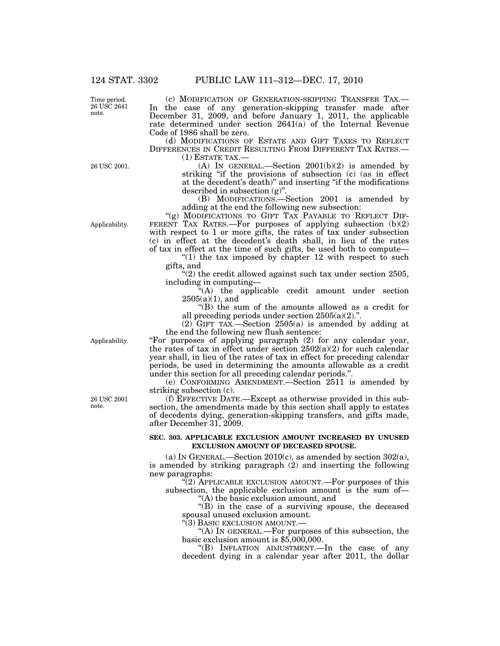Time period. 26 USC 2641 note.

(c) MODIFICATION OF GENERATION-SKIPPING TRANSFER TAX.— In the case of any generation-skipping transfer made after December 31, 2009, and before January 1, 2011, the applicable rate determined under section 2641(a) of the Internal Revenue Code of 1986 shall be zero.

(d) MODIFICATIONS OF ESTATE AND GIFT TAXES TO REFLECT DIFFERENCES IN CREDIT RESULTING FROM DIFFERENT TAX RATES.—

(1) ESTATE TAX.—

(A) IN GENERAL.—Section  $2001(b)(2)$  is amended by striking "if the provisions of subsection (c) (as in effect at the decedent's death)'' and inserting ''if the modifications described in subsection (g)''.

(B) MODIFICATIONS.—Section 2001 is amended by adding at the end the following new subsection:

"(g) MODIFICATIONS TO GIFT TAX PAYABLE TO REFLECT DIF-FERENT TAX RATES.—For purposes of applying subsection (b)(2) with respect to 1 or more gifts, the rates of tax under subsection (c) in effect at the decedent's death shall, in lieu of the rates of tax in effect at the time of such gifts, be used both to compute—

" $(1)$  the tax imposed by chapter 12 with respect to such gifts, and

 $(2)$  the credit allowed against such tax under section 2505, including in computing—

''(A) the applicable credit amount under section  $2505(a)(1)$ , and

''(B) the sum of the amounts allowed as a credit for all preceding periods under section 2505(a)(2).''.

 $(2)$  GIFT TAX.—Section 2505(a) is amended by adding at the end the following new flush sentence:

Applicability.

''For purposes of applying paragraph (2) for any calendar year, the rates of tax in effect under section  $2502(a)(2)$  for such calendar year shall, in lieu of the rates of tax in effect for preceding calendar periods, be used in determining the amounts allowable as a credit under this section for all preceding calendar periods."

(e) CONFORMING AMENDMENT.—Section 2511 is amended by striking subsection (c).

(f) EFFECTIVE DATE.—Except as otherwise provided in this subsection, the amendments made by this section shall apply to estates of decedents dying, generation-skipping transfers, and gifts made, after December 31, 2009.

## **SEC. 303. APPLICABLE EXCLUSION AMOUNT INCREASED BY UNUSED EXCLUSION AMOUNT OF DECEASED SPOUSE.**

(a) IN GENERAL.—Section  $2010(c)$ , as amended by section  $302(a)$ , is amended by striking paragraph (2) and inserting the following new paragraphs:

 $(2)$  APPLICABLE EXCLUSION AMOUNT.—For purposes of this subsection, the applicable exclusion amount is the sum of— ''(A) the basic exclusion amount, and

''(B) in the case of a surviving spouse, the deceased spousal unused exclusion amount.

"(3) BASIC EXCLUSION AMOUNT.-

''(A) IN GENERAL.—For purposes of this subsection, the basic exclusion amount is \$5,000,000.

''(B) INFLATION ADJUSTMENT.—In the case of any decedent dying in a calendar year after 2011, the dollar

26 USC 2001 note.

Applicability.

26 USC 2001.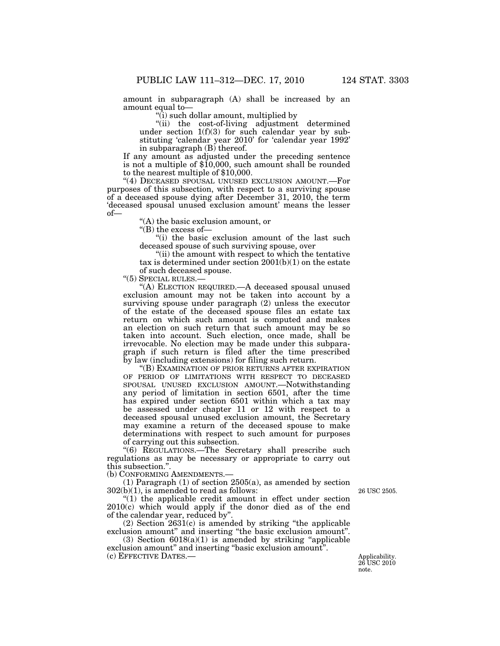amount in subparagraph (A) shall be increased by an amount equal to—

''(i) such dollar amount, multiplied by

''(ii) the cost-of-living adjustment determined under section 1(f)(3) for such calendar year by substituting 'calendar year 2010' for 'calendar year 1992' in subparagraph (B) thereof.

If any amount as adjusted under the preceding sentence is not a multiple of \$10,000, such amount shall be rounded to the nearest multiple of \$10,000.

''(4) DECEASED SPOUSAL UNUSED EXCLUSION AMOUNT.—For purposes of this subsection, with respect to a surviving spouse of a deceased spouse dying after December 31, 2010, the term 'deceased spousal unused exclusion amount' means the lesser of—

''(A) the basic exclusion amount, or

''(B) the excess of—

"(i) the basic exclusion amount of the last such deceased spouse of such surviving spouse, over

"(ii) the amount with respect to which the tentative tax is determined under section 2001(b)(1) on the estate of such deceased spouse.

"(5) SPECIAL RULES.-

''(A) ELECTION REQUIRED.—A deceased spousal unused exclusion amount may not be taken into account by a surviving spouse under paragraph (2) unless the executor of the estate of the deceased spouse files an estate tax return on which such amount is computed and makes an election on such return that such amount may be so taken into account. Such election, once made, shall be irrevocable. No election may be made under this subparagraph if such return is filed after the time prescribed by law (including extensions) for filing such return.

''(B) EXAMINATION OF PRIOR RETURNS AFTER EXPIRATION OF PERIOD OF LIMITATIONS WITH RESPECT TO DECEASED SPOUSAL UNUSED EXCLUSION AMOUNT.—Notwithstanding any period of limitation in section 6501, after the time has expired under section 6501 within which a tax may be assessed under chapter 11 or 12 with respect to a deceased spousal unused exclusion amount, the Secretary may examine a return of the deceased spouse to make determinations with respect to such amount for purposes of carrying out this subsection.

''(6) REGULATIONS.—The Secretary shall prescribe such regulations as may be necessary or appropriate to carry out this subsection.''.

(b) CONFORMING AMENDMENTS.—

(1) Paragraph (1) of section 2505(a), as amended by section  $302(b)(1)$ , is amended to read as follows:

26 USC 2505.

"(1) the applicable credit amount in effect under section 2010(c) which would apply if the donor died as of the end of the calendar year, reduced by''.

 $(2)$  Section  $2631(c)$  is amended by striking "the applicable exclusion amount'' and inserting ''the basic exclusion amount''.

(3) Section  $6018(a)(1)$  is amended by striking "applicable" exclusion amount" and inserting "basic exclusion amount". (c) EFFECTIVE DATES.— Applicability.

26 USC 2010 note.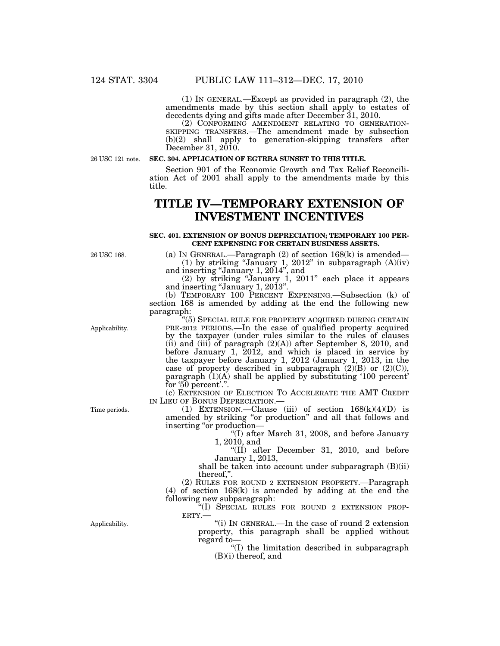(1) IN GENERAL.—Except as provided in paragraph (2), the amendments made by this section shall apply to estates of decedents dying and gifts made after December 31, 2010.

(2) CONFORMING AMENDMENT RELATING TO GENERATION- SKIPPING TRANSFERS.—The amendment made by subsection (b)(2) shall apply to generation-skipping transfers after December 31, 2010.

26 USC 121 note.

## **SEC. 304. APPLICATION OF EGTRRA SUNSET TO THIS TITLE.**

Section 901 of the Economic Growth and Tax Relief Reconciliation Act of 2001 shall apply to the amendments made by this title.

# **TITLE IV—TEMPORARY EXTENSION OF INVESTMENT INCENTIVES**

#### **SEC. 401. EXTENSION OF BONUS DEPRECIATION; TEMPORARY 100 PER-CENT EXPENSING FOR CERTAIN BUSINESS ASSETS.**

26 USC 168.

(a) IN GENERAL.—Paragraph (2) of section 168(k) is amended— (1) by striking "January 1, 2012" in subparagraph  $(A)(iv)$ and inserting ''January 1, 2014'', and

(2) by striking ''January 1, 2011'' each place it appears and inserting ''January 1, 2013''.

(b) TEMPORARY 100 PERCENT EXPENSING.—Subsection (k) of section 168 is amended by adding at the end the following new paragraph:

Applicability.

''(5) SPECIAL RULE FOR PROPERTY ACQUIRED DURING CERTAIN PRE-2012 PERIODS.—In the case of qualified property acquired by the taxpayer (under rules similar to the rules of clauses  $(iii)$  and  $(iii)$  of paragraph  $(2)(A)$  after September 8, 2010, and before January 1, 2012, and which is placed in service by the taxpayer before January 1, 2012 (January 1, 2013, in the case of property described in subparagraph  $(2)(B)$  or  $(2)(C)$ ), paragraph  $(1)(A)$  shall be applied by substituting '100 percent' for '50 percent'.".

(c) EXTENSION OF ELECTION TO ACCELERATE THE AMT CREDIT IN LIEU OF BONUS DEPRECIATION.—

(1) EXTENSION.—Clause (iii) of section  $168(k)(4)(D)$  is amended by striking ''or production'' and all that follows and inserting ''or production—

''(I) after March 31, 2008, and before January 1, 2010, and

''(II) after December 31, 2010, and before January 1, 2013,

shall be taken into account under subparagraph (B)(ii) thereof,''.

(2) RULES FOR ROUND 2 EXTENSION PROPERTY.—Paragraph (4) of section 168(k) is amended by adding at the end the following new subparagraph:

 $\sqrt[36]{(I)}$  SPECIAL RULES FOR ROUND 2 EXTENSION PROPERTY.—

''(i) IN GENERAL.—In the case of round 2 extension property, this paragraph shall be applied without regard to—

''(I) the limitation described in subparagraph (B)(i) thereof, and

Time periods.

Applicability.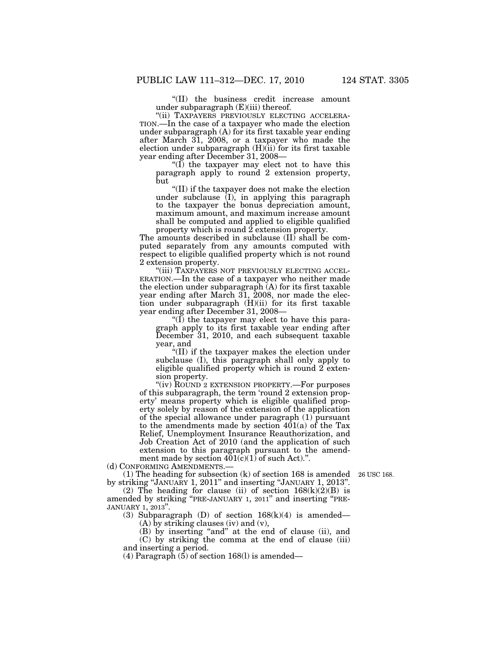''(II) the business credit increase amount under subparagraph  $(E)(iii)$  thereof.

"(ii) TAXPAYERS PREVIOUSLY ELECTING ACCELERA-TION.—In the case of a taxpayer who made the election under subparagraph (A) for its first taxable year ending after March 31, 2008, or a taxpayer who made the election under subparagraph  $(H)(ii)$  for its first taxable year ending after December 31, 2008—

''(I) the taxpayer may elect not to have this paragraph apply to round 2 extension property, but

''(II) if the taxpayer does not make the election under subclause (I), in applying this paragraph to the taxpayer the bonus depreciation amount, maximum amount, and maximum increase amount shall be computed and applied to eligible qualified property which is round 2 extension property.

The amounts described in subclause (II) shall be computed separately from any amounts computed with respect to eligible qualified property which is not round 2 extension property.

''(iii) TAXPAYERS NOT PREVIOUSLY ELECTING ACCEL-ERATION.—In the case of a taxpayer who neither made the election under subparagraph (A) for its first taxable year ending after March 31, 2008, nor made the election under subparagraph (H)(ii) for its first taxable year ending after December 31, 2008—

"(I) the taxpayer may elect to have this paragraph apply to its first taxable year ending after December 31, 2010, and each subsequent taxable year, and

''(II) if the taxpayer makes the election under subclause (I), this paragraph shall only apply to eligible qualified property which is round 2 extension property.

''(iv) ROUND 2 EXTENSION PROPERTY.—For purposes of this subparagraph, the term 'round 2 extension property' means property which is eligible qualified property solely by reason of the extension of the application of the special allowance under paragraph (1) pursuant to the amendments made by section 401(a) of the Tax Relief, Unemployment Insurance Reauthorization, and Job Creation Act of 2010 (and the application of such extension to this paragraph pursuant to the amendment made by section  $401(\tilde{c})(1)$  of such Act).".

(d) CONFORMING AMENDMENTS.—

(1) The heading for subsection (k) of section 168 is amended 26 USC 168. by striking ''JANUARY 1, 2011'' and inserting ''JANUARY 1, 2013''.

(2) The heading for clause (ii) of section  $168(k)(2)(B)$  is amended by striking ''PRE-JANUARY 1, 2011'' and inserting ''PRE-JANUARY 1, 2013''.

(3) Subparagraph (D) of section 168(k)(4) is amended—

 $(A)$  by striking clauses (iv) and (v),

(B) by inserting "and" at the end of clause (ii), and (C) by striking the comma at the end of clause (iii) and inserting a period.

(4) Paragraph  $(5)$  of section 168(l) is amended—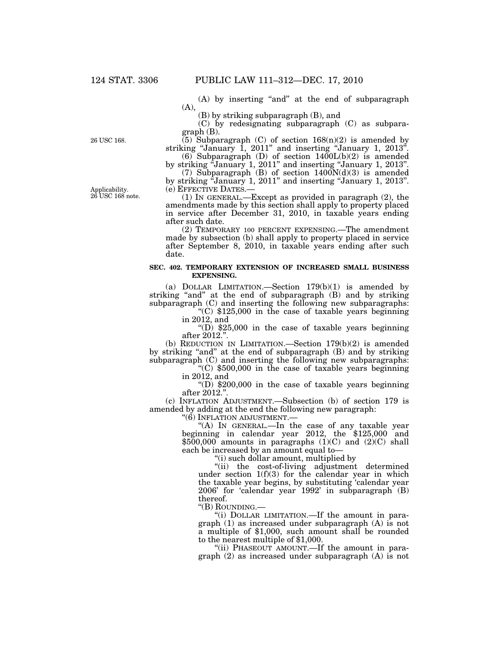(A) by inserting "and" at the end of subparagraph (A),

(B) by striking subparagraph (B), and

(C) by redesignating subparagraph (C) as subparagraph (B).

 $(5)$  Subparagraph (C) of section  $168(n)(2)$  is amended by striking "January 1, 2011" and inserting "January 1, 2013".

(6) Subparagraph (D) of section 1400L(b)(2) is amended by striking "January 1, 2011" and inserting "January 1, 2013".

(7) Subparagraph (B) of section  $1400N(d)(3)$  is amended by striking "January 1, 2011" and inserting "January 1, 2013". (e) EFFECTIVE DATES.— (1) IN GENERAL.—Except as provided in paragraph (2), the

amendments made by this section shall apply to property placed in service after December 31, 2010, in taxable years ending after such date.

(2) TEMPORARY 100 PERCENT EXPENSING.—The amendment made by subsection (b) shall apply to property placed in service after September 8, 2010, in taxable years ending after such date.

## **SEC. 402. TEMPORARY EXTENSION OF INCREASED SMALL BUSINESS EXPENSING.**

(a) DOLLAR LIMITATION.—Section 179(b)(1) is amended by striking "and" at the end of subparagraph (B) and by striking subparagraph (C) and inserting the following new subparagraphs:

 $(C)$  \$125,000 in the case of taxable years beginning in 2012, and

"(D)  $$25,000$  in the case of taxable years beginning after 2012.''.

(b) REDUCTION IN LIMITATION.—Section 179(b)(2) is amended by striking "and" at the end of subparagraph (B) and by striking subparagraph (C) and inserting the following new subparagraphs:

''(C) \$500,000 in the case of taxable years beginning in 2012, and

" $(D)$  \$200,000 in the case of taxable years beginning after 2012.''.

(c) INFLATION ADJUSTMENT.—Subsection (b) of section 179 is amended by adding at the end the following new paragraph:

''(6) INFLATION ADJUSTMENT.—

"(A) In GENERAL.—In the case of any taxable year beginning in calendar year 2012, the \$125,000 and  $$500,000$  amounts in paragraphs (1)(C) and (2)(C) shall each be increased by an amount equal to—

''(i) such dollar amount, multiplied by

''(ii) the cost-of-living adjustment determined under section  $1(f)(3)$  for the calendar year in which the taxable year begins, by substituting 'calendar year 2006' for 'calendar year 1992' in subparagraph (B)

thereof.<br>"(B) ROUNDING.—

"(i) DOLLAR LIMITATION.—If the amount in paragraph (1) as increased under subparagraph (A) is not a multiple of \$1,000, such amount shall be rounded to the nearest multiple of \$1,000.

"(ii) PHASEOUT AMOUNT.—If the amount in paragraph (2) as increased under subparagraph (A) is not

26 USC 168.

Applicability. 26 USC 168 note.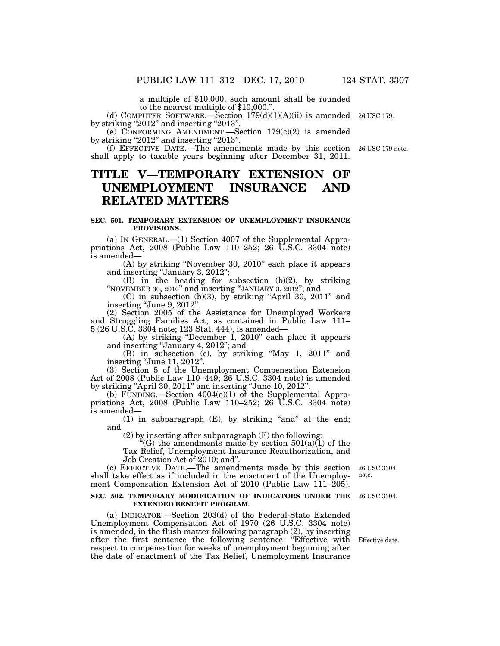a multiple of \$10,000, such amount shall be rounded to the nearest multiple of \$10,000.'

(d) COMPUTER SOFTWARE.—Section  $179(d)(1)(A)(ii)$  is amended 26 USC 179. by striking "2012" and inserting "2013".

(e) CONFORMING AMENDMENT.—Section 179(c)(2) is amended by striking "2012" and inserting "2013".

(f) EFFECTIVE DATE.—The amendments made by this section 26 USC 179 note. shall apply to taxable years beginning after December 31, 2011.

# **TITLE V—TEMPORARY EXTENSION OF UNEMPLOYMENT INSURANCE AND RELATED MATTERS**

## **SEC. 501. TEMPORARY EXTENSION OF UNEMPLOYMENT INSURANCE PROVISIONS.**

(a) IN GENERAL.—(1) Section 4007 of the Supplemental Appropriations Act,  $2008$  (Public Law 110–252; 26 U.S.C. 3304 note) is amended—

(A) by striking ''November 30, 2010'' each place it appears and inserting "January 3, 2012";

(B) in the heading for subsection (b)(2), by striking ''NOVEMBER 30, 2010'' and inserting ''JANUARY 3, 2012''; and

 $(C)$  in subsection  $(b)(3)$ , by striking "April 30, 2011" and inserting "June 9, 2012".

(2) Section 2005 of the Assistance for Unemployed Workers and Struggling Families Act, as contained in Public Law 111– 5 (26 U.S.C. 3304 note; 123 Stat. 444), is amended—

(A) by striking ''December 1, 2010'' each place it appears and inserting ''January 4, 2012''; and

(B) in subsection (c), by striking ''May 1, 2011'' and inserting ''June 11, 2012''.

(3) Section 5 of the Unemployment Compensation Extension Act of 2008 (Public Law 110–449; 26 U.S.C. 3304 note) is amended by striking ''April 30, 2011'' and inserting ''June 10, 2012''.

(b) FUNDING.—Section  $4004(e)(1)$  of the Supplemental Appropriations Act, 2008 (Public Law 110–252; 26 U.S.C. 3304 note) is amended—

(1) in subparagraph  $(E)$ , by striking "and" at the end; and

(2) by inserting after subparagraph (F) the following:

"(G) the amendments made by section  $501(a)(1)$  of the Tax Relief, Unemployment Insurance Reauthorization, and Job Creation Act of 2010; and''.

(c) EFFECTIVE DATE.—The amendments made by this section shall take effect as if included in the enactment of the Unemployment Compensation Extension Act of 2010 (Public Law 111–205).

#### **SEC. 502. TEMPORARY MODIFICATION OF INDICATORS UNDER THE**  26 USC 3304. **EXTENDED BENEFIT PROGRAM.**

(a) INDICATOR.—Section 203(d) of the Federal-State Extended Unemployment Compensation Act of 1970 (26 U.S.C. 3304 note) is amended, in the flush matter following paragraph (2), by inserting after the first sentence the following sentence: "Effective with respect to compensation for weeks of unemployment beginning after the date of enactment of the Tax Relief, Unemployment Insurance

26 USC 3304 note.

Effective date.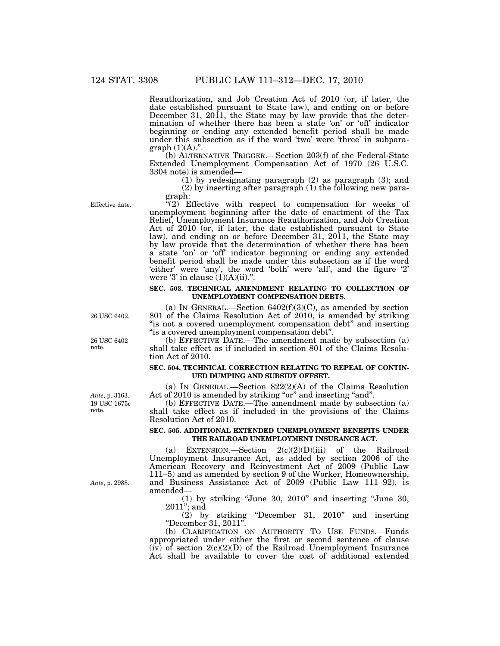Reauthorization, and Job Creation Act of 2010 (or, if later, the date established pursuant to State law), and ending on or before December 31, 2011, the State may by law provide that the determination of whether there has been a state 'on' or 'off' indicator beginning or ending any extended benefit period shall be made under this subsection as if the word 'two' were 'three' in subparagraph  $(1)(A)$ .".

(b) ALTERNATIVE TRIGGER.—Section 203(f) of the Federal-State Extended Unemployment Compensation Act of 1970 (26 U.S.C. 3304 note) is amended—

(1) by redesignating paragraph (2) as paragraph (3); and (2) by inserting after paragraph (1) the following new paragraph:

Effective date.

 $(2)$  Effective with respect to compensation for weeks of unemployment beginning after the date of enactment of the Tax Relief, Unemployment Insurance Reauthorization, and Job Creation Act of 2010 (or, if later, the date established pursuant to State law), and ending on or before December 31, 2011, the State may by law provide that the determination of whether there has been a state 'on' or 'off' indicator beginning or ending any extended benefit period shall be made under this subsection as if the word 'either' were 'any', the word 'both' were 'all', and the figure '2' were '3' in clause  $(1)(A)(ii)$ .".

## **SEC. 503. TECHNICAL AMENDMENT RELATING TO COLLECTION OF UNEMPLOYMENT COMPENSATION DEBTS.**

(a) IN GENERAL.—Section  $6402(f)(3)(C)$ , as amended by section 801 of the Claims Resolution Act of 2010, is amended by striking "is not a covered unemployment compensation debt" and inserting ''is a covered unemployment compensation debt''.

(b) EFFECTIVE DATE.—The amendment made by subsection (a) shall take effect as if included in section 801 of the Claims Resolution Act of 2010.

## **SEC. 504. TECHNICAL CORRECTION RELATING TO REPEAL OF CONTIN-UED DUMPING AND SUBSIDY OFFSET.**

(a) IN GENERAL.—Section 822(2)(A) of the Claims Resolution Act of 2010 is amended by striking "or" and inserting "and".

(b) EFFECTIVE DATE.—The amendment made by subsection (a) shall take effect as if included in the provisions of the Claims Resolution Act of 2010.

## **SEC. 505. ADDITIONAL EXTENDED UNEMPLOYMENT BENEFITS UNDER THE RAILROAD UNEMPLOYMENT INSURANCE ACT.**

(a) EXTENSION.—Section  $2(c)(2)(D)(iii)$  of the Railroad Unemployment Insurance Act, as added by section 2006 of the American Recovery and Reinvestment Act of 2009 (Public Law 111–5) and as amended by section 9 of the Worker, Homeownership, and Business Assistance Act of 2009 (Public Law 111–92), is amended—

(1) by striking ''June 30, 2010'' and inserting ''June 30,  $2011$ "; and

 $(2)$  by striking "December 31, 2010" and inserting ''December 31, 2011''.

(b) CLARIFICATION ON AUTHORITY TO USE FUNDS.—Funds appropriated under either the first or second sentence of clause  $(iv)$  of section  $2(c)(2)(D)$  of the Railroad Unemployment Insurance Act shall be available to cover the cost of additional extended

26 USC 6402.

26 USC 6402 note.

19 USC 1675c note. *Ante*, p. 3163.

*Ante*, p. 2988.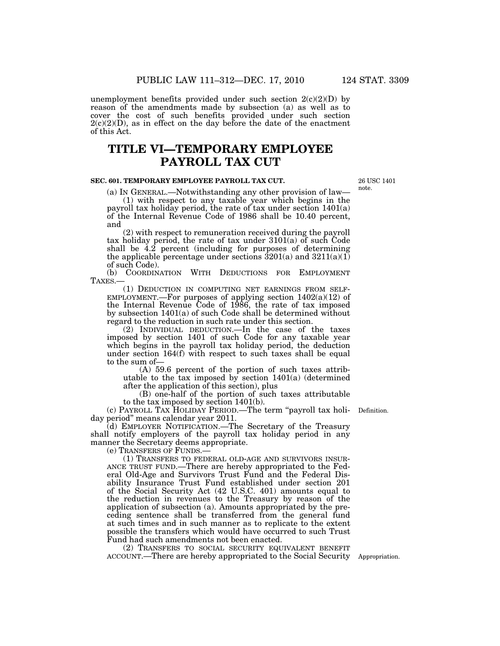unemployment benefits provided under such section  $2(c)(2)(D)$  by reason of the amendments made by subsection (a) as well as to cover the cost of such benefits provided under such section  $2(c)(2)(D)$ , as in effect on the day before the date of the enactment of this Act.

# **TITLE VI—TEMPORARY EMPLOYEE PAYROLL TAX CUT**

## **SEC. 601. TEMPORARY EMPLOYEE PAYROLL TAX CUT.**

(a) IN GENERAL.—Notwithstanding any other provision of law—

(1) with respect to any taxable year which begins in the payroll tax holiday period, the rate of tax under section 1401(a) of the Internal Revenue Code of 1986 shall be 10.40 percent, and

(2) with respect to remuneration received during the payroll tax holiday period, the rate of tax under 3101(a) of such Code shall be 4.2 percent (including for purposes of determining the applicable percentage under sections  $3201(a)$  and  $3211(a)(1)$ of such Code).

(b) COORDINATION WITH DEDUCTIONS FOR EMPLOYMENT

TAXES.— (1) DEDUCTION IN COMPUTING NET EARNINGS FROM SELF- EMPLOYMENT.—For purposes of applying section 1402(a)(12) of the Internal Revenue Code of 1986, the rate of tax imposed by subsection 1401(a) of such Code shall be determined without regard to the reduction in such rate under this section.

(2) INDIVIDUAL DEDUCTION.—In the case of the taxes imposed by section 1401 of such Code for any taxable year which begins in the payroll tax holiday period, the deduction under section 164(f) with respect to such taxes shall be equal to the sum of—

(A) 59.6 percent of the portion of such taxes attributable to the tax imposed by section 1401(a) (determined after the application of this section), plus

(B) one-half of the portion of such taxes attributable to the tax imposed by section 1401(b).

(c) PAYROLL TAX HOLIDAY PERIOD.—The term ''payroll tax holi-Definition. day period'' means calendar year 2011.

(d) EMPLOYER NOTIFICATION.—The Secretary of the Treasury shall notify employers of the payroll tax holiday period in any manner the Secretary deems appropriate.<br>(e) TRANSFERS OF FUNDS.—

(1) TRANSFERS TO FEDERAL OLD-AGE AND SURVIVORS INSUR-<br>ANCE TRUST FUND.—There are hereby appropriated to the Federal Old-Age and Survivors Trust Fund and the Federal Disability Insurance Trust Fund established under section 201 of the Social Security Act (42 U.S.C. 401) amounts equal to the reduction in revenues to the Treasury by reason of the application of subsection (a). Amounts appropriated by the preceding sentence shall be transferred from the general fund at such times and in such manner as to replicate to the extent possible the transfers which would have occurred to such Trust Fund had such amendments not been enacted.

(2) TRANSFERS TO SOCIAL SECURITY EQUIVALENT BENEFIT ACCOUNT.—There are hereby appropriated to the Social Security Appropriation.

26 USC 1401 note.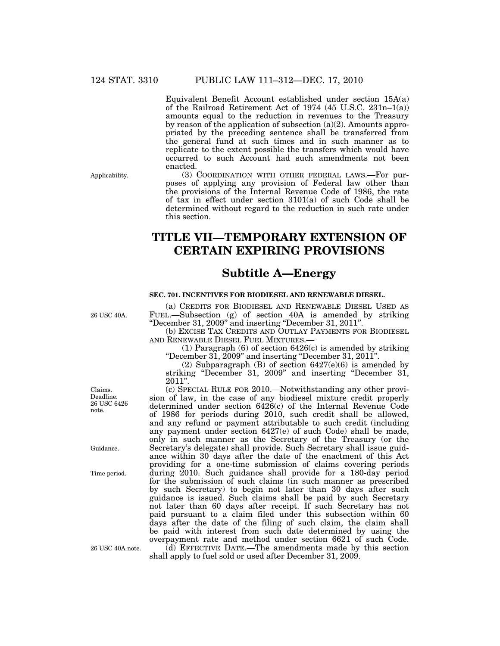Equivalent Benefit Account established under section 15A(a) of the Railroad Retirement Act of 1974 (45 U.S.C. 231n–1(a)) amounts equal to the reduction in revenues to the Treasury by reason of the application of subsection (a)(2). Amounts appropriated by the preceding sentence shall be transferred from the general fund at such times and in such manner as to replicate to the extent possible the transfers which would have occurred to such Account had such amendments not been enacted.

Applicability.

(3) COORDINATION WITH OTHER FEDERAL LAWS.—For purposes of applying any provision of Federal law other than the provisions of the Internal Revenue Code of 1986, the rate of tax in effect under section 3101(a) of such Code shall be determined without regard to the reduction in such rate under this section.

# **TITLE VII—TEMPORARY EXTENSION OF CERTAIN EXPIRING PROVISIONS**

## **Subtitle A—Energy**

## **SEC. 701. INCENTIVES FOR BIODIESEL AND RENEWABLE DIESEL.**

(a) CREDITS FOR BIODIESEL AND RENEWABLE DIESEL USED AS FUEL.—Subsection (g) of section 40A is amended by striking ''December 31, 2009'' and inserting ''December 31, 2011''.

(b) EXCISE TAX CREDITS AND OUTLAY PAYMENTS FOR BIODIESEL AND RENEWABLE DIESEL FUEL MIXTURES.

(1) Paragraph (6) of section 6426(c) is amended by striking ''December 31, 2009'' and inserting ''December 31, 2011''.

(2) Subparagraph  $(B)$  of section  $6427(e)(6)$  is amended by striking "December 31, 2009" and inserting "December 31, 2011''.

(c) SPECIAL RULE FOR 2010.—Notwithstanding any other provision of law, in the case of any biodiesel mixture credit properly determined under section 6426(c) of the Internal Revenue Code of 1986 for periods during 2010, such credit shall be allowed, and any refund or payment attributable to such credit (including any payment under section 6427(e) of such Code) shall be made, only in such manner as the Secretary of the Treasury (or the Secretary's delegate) shall provide. Such Secretary shall issue guidance within 30 days after the date of the enactment of this Act providing for a one-time submission of claims covering periods during 2010. Such guidance shall provide for a 180-day period for the submission of such claims (in such manner as prescribed by such Secretary) to begin not later than 30 days after such guidance is issued. Such claims shall be paid by such Secretary not later than 60 days after receipt. If such Secretary has not paid pursuant to a claim filed under this subsection within 60 days after the date of the filing of such claim, the claim shall be paid with interest from such date determined by using the overpayment rate and method under section 6621 of such Code.

(d) EFFECTIVE DATE.—The amendments made by this section shall apply to fuel sold or used after December 31, 2009.

Claims. Deadline. 26 USC 6426 note.

26 USC 40A.

Guidance.

Time period.

26 USC 40A note.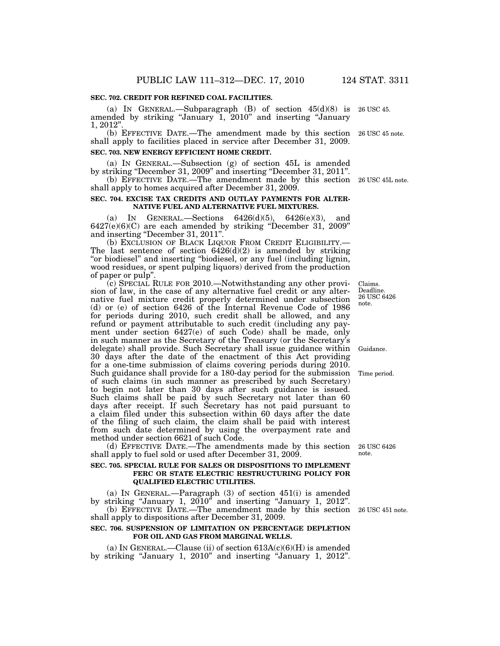## **SEC. 702. CREDIT FOR REFINED COAL FACILITIES.**

(a) IN GENERAL.—Subparagraph  $(B)$  of section  $45(d)(8)$  is 26 USC 45. amended by striking "January 1, 2010" and inserting "January 1, 2012''.

(b) EFFECTIVE DATE.—The amendment made by this section 26 USC 45 note. shall apply to facilities placed in service after December 31, 2009. **SEC. 703. NEW ENERGY EFFICIENT HOME CREDIT.** 

(a) IN GENERAL.—Subsection (g) of section 45L is amended by striking ''December 31, 2009'' and inserting ''December 31, 2011''. (b) EFFECTIVE DATE.—The amendment made by this section 26 USC 45L note.

shall apply to homes acquired after December 31, 2009.

## **SEC. 704. EXCISE TAX CREDITS AND OUTLAY PAYMENTS FOR ALTER-NATIVE FUEL AND ALTERNATIVE FUEL MIXTURES.**

(a) IN GENERAL.—Sections 6426(d)(5), 6426(e)(3), and 6427(e)(6)(C) are each amended by striking ''December 31, 2009'' and inserting ''December 31, 2011''.

(b) EXCLUSION OF BLACK LIQUOR FROM CREDIT ELIGIBILITY.— The last sentence of section  $6426(d)(2)$  is amended by striking "or biodiesel" and inserting "biodiesel, or any fuel (including lignin, wood residues, or spent pulping liquors) derived from the production of paper or pulp''.

(c) SPECIAL RULE FOR 2010.—Notwithstanding any other provision of law, in the case of any alternative fuel credit or any alternative fuel mixture credit properly determined under subsection (d) or (e) of section 6426 of the Internal Revenue Code of 1986 for periods during 2010, such credit shall be allowed, and any refund or payment attributable to such credit (including any payment under section 6427(e) of such Code) shall be made, only in such manner as the Secretary of the Treasury (or the Secretary's delegate) shall provide. Such Secretary shall issue guidance within 30 days after the date of the enactment of this Act providing for a one-time submission of claims covering periods during 2010. Such guidance shall provide for a 180-day period for the submission of such claims (in such manner as prescribed by such Secretary) to begin not later than 30 days after such guidance is issued. Such claims shall be paid by such Secretary not later than 60 days after receipt. If such Secretary has not paid pursuant to a claim filed under this subsection within 60 days after the date of the filing of such claim, the claim shall be paid with interest from such date determined by using the overpayment rate and method under section 6621 of such Code. Guidance.

(d) EFFECTIVE DATE.—The amendments made by this section shall apply to fuel sold or used after December 31, 2009.

## **SEC. 705. SPECIAL RULE FOR SALES OR DISPOSITIONS TO IMPLEMENT FERC OR STATE ELECTRIC RESTRUCTURING POLICY FOR QUALIFIED ELECTRIC UTILITIES.**

(a) IN GENERAL.—Paragraph (3) of section 451(i) is amended by striking "January 1, 2010" and inserting "January 1, 2012".

(b) EFFECTIVE DATE.—The amendment made by this section 26 USC 451 note. shall apply to dispositions after December 31, 2009.

## **SEC. 706. SUSPENSION OF LIMITATION ON PERCENTAGE DEPLETION FOR OIL AND GAS FROM MARGINAL WELLS.**

(a) IN GENERAL.—Clause (ii) of section  $613A(c)(6)(H)$  is amended by striking ''January 1, 2010'' and inserting ''January 1, 2012''.

Time period.

26 USC 6426 note.

Claims. Deadline. 26 USC 6426 note.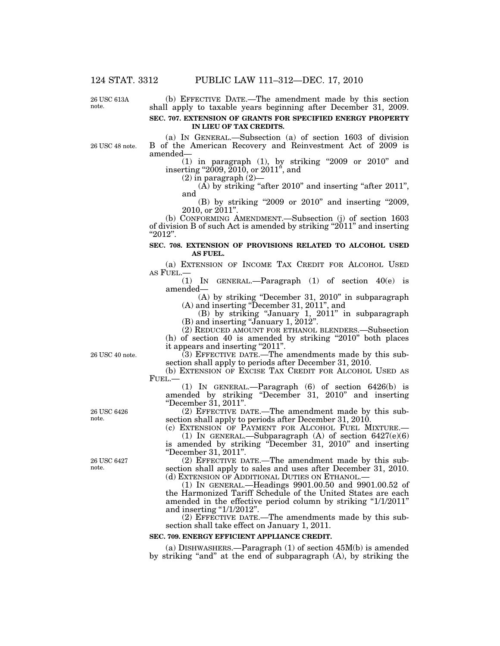26 USC 613A note.

(b) EFFECTIVE DATE.—The amendment made by this section shall apply to taxable years beginning after December 31, 2009. **SEC. 707. EXTENSION OF GRANTS FOR SPECIFIED ENERGY PROPERTY** 

**IN LIEU OF TAX CREDITS.** 

26 USC 48 note.

(a) IN GENERAL.—Subsection (a) of section 1603 of division B of the American Recovery and Reinvestment Act of 2009 is amended—

(1) in paragraph (1), by striking "2009 or  $2010$ " and inserting "2009,  $2010$ , or  $2011$ ", and

 $(2)$  in paragraph  $(2)$ 

 $(A)$  by striking "after 2010" and inserting "after 2011", and

(B) by striking "2009 or 2010" and inserting "2009, 2010, or  $2011"$ 

(b) CONFORMING AMENDMENT.—Subsection (j) of section 1603 of division B of such Act is amended by striking ''2011'' and inserting ''2012''.

## **SEC. 708. EXTENSION OF PROVISIONS RELATED TO ALCOHOL USED AS FUEL.**

(a) EXTENSION OF INCOME TAX CREDIT FOR ALCOHOL USED AS FUEL.—

(1) IN GENERAL.—Paragraph (1) of section 40(e) is amended—

(A) by striking ''December 31, 2010'' in subparagraph (A) and inserting ''December 31, 2011'', and

(B) by striking ''January 1, 2011'' in subparagraph (B) and inserting ''January 1, 2012''.

(2) REDUCED AMOUNT FOR ETHANOL BLENDERS.—Subsection

 $(h)$  of section 40 is amended by striking "2010" both places it appears and inserting "2011".

(3) EFFECTIVE DATE.—The amendments made by this subsection shall apply to periods after December 31, 2010.

(b) EXTENSION OF EXCISE TAX CREDIT FOR ALCOHOL USED AS FUEL.—

(1) IN GENERAL.—Paragraph  $(6)$  of section 6426(b) is amended by striking ''December 31, 2010'' and inserting ''December 31, 2011''.

(2) EFFECTIVE DATE.—The amendment made by this subsection shall apply to periods after December 31, 2010.

(c) EXTENSION OF PAYMENT FOR ALCOHOL FUEL MIXTURE.— (1) IN GENERAL.—Subparagraph (A) of section  $6427(e)(6)$ is amended by striking ''December 31, 2010'' and inserting ''December 31, 2011''.

(2) EFFECTIVE DATE.—The amendment made by this subsection shall apply to sales and uses after December 31, 2010.<br>(d) EXTENSION OF ADDITIONAL DUTIES ON ETHANOL.—

 $(1)$  In GENERAL.—Headings  $9901.00.50$  and  $9901.00.52$  of the Harmonized Tariff Schedule of the United States are each amended in the effective period column by striking "1/1/2011" and inserting  $\frac{1}{1/2012}$ .

(2) EFFECTIVE DATE.—The amendments made by this subsection shall take effect on January 1, 2011.

## **SEC. 709. ENERGY EFFICIENT APPLIANCE CREDIT.**

(a) DISHWASHERS.—Paragraph (1) of section 45M(b) is amended by striking "and" at the end of subparagraph (A), by striking the

26 USC 40 note.

26 USC 6426 note.

26 USC 6427 note.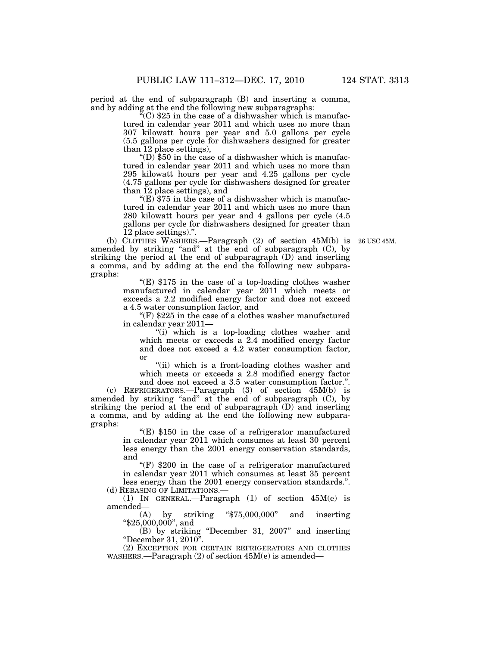period at the end of subparagraph (B) and inserting a comma, and by adding at the end the following new subparagraphs:

 $\mathcal{C}(C)$  \$25 in the case of a dishwasher which is manufactured in calendar year 2011 and which uses no more than 307 kilowatt hours per year and 5.0 gallons per cycle (5.5 gallons per cycle for dishwashers designed for greater than 12 place settings),

"(D)  $$50$  in the case of a dishwasher which is manufactured in calendar year 2011 and which uses no more than 295 kilowatt hours per year and 4.25 gallons per cycle (4.75 gallons per cycle for dishwashers designed for greater than 12 place settings), and

" $(E)$  \$75 in the case of a dishwasher which is manufactured in calendar year 2011 and which uses no more than 280 kilowatt hours per year and 4 gallons per cycle (4.5 gallons per cycle for dishwashers designed for greater than 12 place settings).''.

26 USC 45M.

(b) CLOTHES WASHERS.—Paragraph (2) of section 45M(b) is amended by striking "and" at the end of subparagraph (C), by striking the period at the end of subparagraph (D) and inserting a comma, and by adding at the end the following new subparagraphs:

" $(E)$  \$175 in the case of a top-loading clothes washer manufactured in calendar year 2011 which meets or exceeds a 2.2 modified energy factor and does not exceed a 4.5 water consumption factor, and

" $(F)$  \$225 in the case of a clothes washer manufactured in calendar year 2011—

''(i) which is a top-loading clothes washer and which meets or exceeds a 2.4 modified energy factor and does not exceed a 4.2 water consumption factor, or

"(ii) which is a front-loading clothes washer and which meets or exceeds a 2.8 modified energy factor and does not exceed a 3.5 water consumption factor.''.

(c) REFRIGERATORS.—Paragraph (3) of section 45M(b) is amended by striking "and" at the end of subparagraph (C), by striking the period at the end of subparagraph (D) and inserting a comma, and by adding at the end the following new subparagraphs:

> "(E)  $$150$  in the case of a refrigerator manufactured in calendar year 2011 which consumes at least 30 percent less energy than the 2001 energy conservation standards, and

"(F)  $$200$  in the case of a refrigerator manufactured in calendar year 2011 which consumes at least 35 percent less energy than the 2001 energy conservation standards.''. (d) REBASING OF LIMITATIONS.—

(1) IN GENERAL.—Paragraph (1) of section 45M(e) is amended— $(A)$ 

by striking " $$75,000,000$ " and inserting " $$25,000,000$ ", and

(B) by striking ''December 31, 2007'' and inserting ''December 31, 2010''.

(2) EXCEPTION FOR CERTAIN REFRIGERATORS AND CLOTHES WASHERS.—Paragraph (2) of section 45M(e) is amended—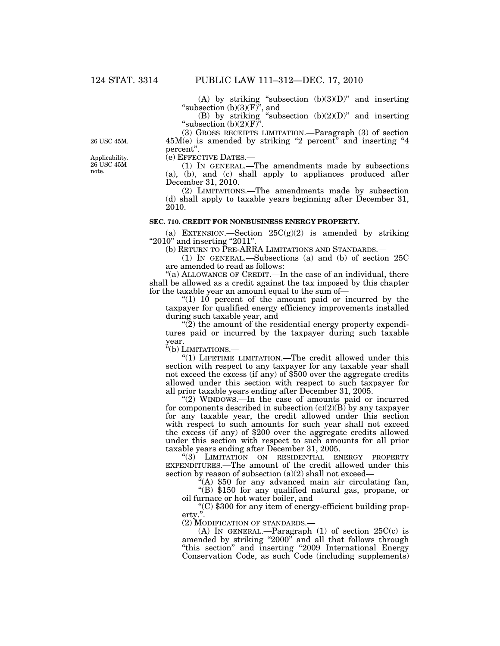(A) by striking "subsection  $(b)(3)(D)$ " and inserting "subsection  $(b)(3)(F)$ ", and

(B) by striking "subsection  $(b)(2)(D)$ " and inserting "subsection  $(b)(2)(F)$ ".

(3) GROSS RECEIPTS LIMITATION.—Paragraph (3) of section  $45M(e)$  is amended by striking "2 percent" and inserting "4 percent''.

(e) EFFECTIVE DATES.—

(1) IN GENERAL.—The amendments made by subsections (a), (b), and (c) shall apply to appliances produced after December 31, 2010.

(2) LIMITATIONS.—The amendments made by subsection (d) shall apply to taxable years beginning after December 31, 2010.

## **SEC. 710. CREDIT FOR NONBUSINESS ENERGY PROPERTY.**

(a) EXTENSION.—Section  $25C(g)(2)$  is amended by striking "2010" and inserting "2011".

(b) RETURN TO PRE-ARRA LIMITATIONS AND STANDARDS.—

(1) IN GENERAL.—Subsections (a) and (b) of section 25C are amended to read as follows:

"(a) ALLOWANCE OF CREDIT.—In the case of an individual, there shall be allowed as a credit against the tax imposed by this chapter for the taxable year an amount equal to the sum of—

" $(1)$  10 percent of the amount paid or incurred by the taxpayer for qualified energy efficiency improvements installed during such taxable year, and

 $\mathcal{L}(2)$  the amount of the residential energy property expenditures paid or incurred by the taxpayer during such taxable year.

''(b) LIMITATIONS.—

"(1) LIFETIME LIMITATION.—The credit allowed under this section with respect to any taxpayer for any taxable year shall not exceed the excess (if any) of \$500 over the aggregate credits allowed under this section with respect to such taxpayer for all prior taxable years ending after December 31, 2005.

''(2) WINDOWS.—In the case of amounts paid or incurred for components described in subsection  $(c)(2)(B)$  by any taxpayer for any taxable year, the credit allowed under this section with respect to such amounts for such year shall not exceed the excess (if any) of \$200 over the aggregate credits allowed under this section with respect to such amounts for all prior taxable years ending after December 31, 2005.

''(3) LIMITATION ON RESIDENTIAL ENERGY PROPERTY EXPENDITURES.—The amount of the credit allowed under this section by reason of subsection  $(a)(2)$  shall not exceed–

 $(4)$  \$50 for any advanced main air circulating fan, "(B)  $$150$  for any qualified natural gas, propane, or oil furnace or hot water boiler, and

oil furnace or hot water boiler, and ''(C) \$300 for any item of energy-efficient building prop-

erty.''.

(2) MODIFICATION OF STANDARDS.—

(A) IN GENERAL.—Paragraph  $(1)$  of section  $25C(c)$  is amended by striking "2000" and all that follows through "this section" and inserting "2009 International Energy Conservation Code, as such Code (including supplements)

Applicability. 26 USC 45M note.

26 USC 45M.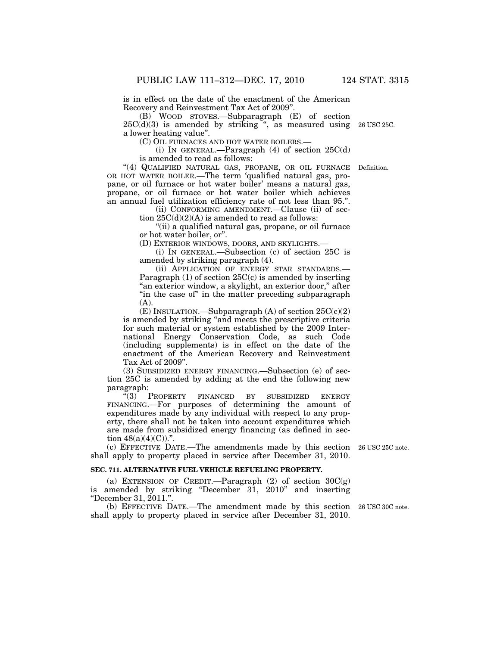is in effect on the date of the enactment of the American Recovery and Reinvestment Tax Act of 2009''.

(B) WOOD STOVES.—Subparagraph (E) of section  $25C(d)(3)$  is amended by striking ", as measured using 26 USC 25C. a lower heating value''.

(C) OIL FURNACES AND HOT WATER BOILERS.—

(i) IN GENERAL.—Paragraph  $(4)$  of section  $25C(d)$ is amended to read as follows:

''(4) QUALIFIED NATURAL GAS, PROPANE, OR OIL FURNACE OR HOT WATER BOILER.—The term 'qualified natural gas, propane, or oil furnace or hot water boiler' means a natural gas, propane, or oil furnace or hot water boiler which achieves an annual fuel utilization efficiency rate of not less than 95.''.

> (ii) CONFORMING AMENDMENT.—Clause (ii) of section  $25C(d)(2)(A)$  is amended to read as follows:

> ''(ii) a qualified natural gas, propane, or oil furnace or hot water boiler, or''.

(D) EXTERIOR WINDOWS, DOORS, AND SKYLIGHTS.—

(i) IN GENERAL.—Subsection (c) of section 25C is amended by striking paragraph (4).

(ii) APPLICATION OF ENERGY STAR STANDARDS.— Paragraph  $(1)$  of section  $25C(c)$  is amended by inserting "an exterior window, a skylight, an exterior door," after "in the case of" in the matter preceding subparagraph (A).

(E) INSULATION.—Subparagraph  $(A)$  of section  $25C(c)(2)$ is amended by striking ''and meets the prescriptive criteria for such material or system established by the 2009 International Energy Conservation Code, as such Code (including supplements) is in effect on the date of the enactment of the American Recovery and Reinvestment Tax Act of 2009''.

(3) SUBSIDIZED ENERGY FINANCING.—Subsection (e) of section 25C is amended by adding at the end the following new paragraph:

"(3) PROPERTY FINANCED BY SUBSIDIZED ENERGY FINANCING.—For purposes of determining the amount of expenditures made by any individual with respect to any property, there shall not be taken into account expenditures which are made from subsidized energy financing (as defined in section  $48(a)(4)(C)$ .".

(c) EFFECTIVE DATE.—The amendments made by this section 26 USC 25C note. shall apply to property placed in service after December 31, 2010.

## **SEC. 711. ALTERNATIVE FUEL VEHICLE REFUELING PROPERTY.**

(a) EXTENSION OF CREDIT.—Paragraph  $(2)$  of section  $30C(g)$ is amended by striking ''December 31, 2010'' and inserting ''December 31, 2011.''.

(b) EFFECTIVE DATE.—The amendment made by this section 26 USC 30C note. shall apply to property placed in service after December 31, 2010.

Definition.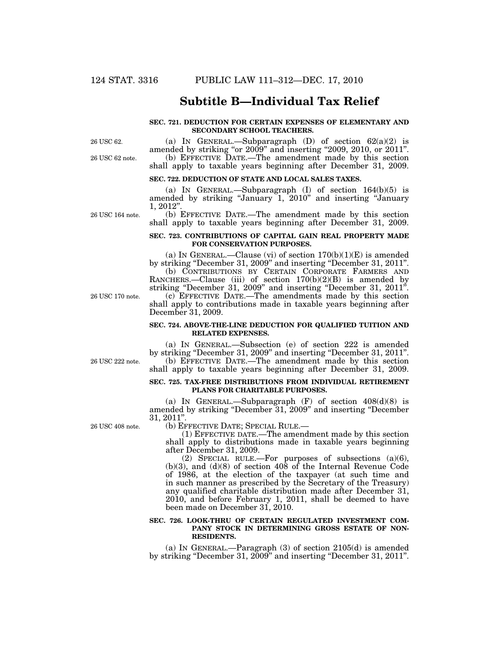## **Subtitle B—Individual Tax Relief**

### **SEC. 721. DEDUCTION FOR CERTAIN EXPENSES OF ELEMENTARY AND SECONDARY SCHOOL TEACHERS.**

26 USC 62.

26 USC 62 note.

(a) IN GENERAL.—Subparagraph (D) of section  $62(a)(2)$  is amended by striking "or 2009" and inserting "2009, 2010, or 2011". (b) EFFECTIVE DATE.—The amendment made by this section shall apply to taxable years beginning after December 31, 2009.

### **SEC. 722. DEDUCTION OF STATE AND LOCAL SALES TAXES.**

(a) IN GENERAL.—Subparagraph (I) of section 164(b)(5) is amended by striking ''January 1, 2010'' and inserting ''January 1, 2012''.

(b) EFFECTIVE DATE.—The amendment made by this section shall apply to taxable years beginning after December 31, 2009.

## **SEC. 723. CONTRIBUTIONS OF CAPITAL GAIN REAL PROPERTY MADE FOR CONSERVATION PURPOSES.**

(a) IN GENERAL.—Clause (vi) of section  $170(b)(1)(E)$  is amended by striking "December 31, 2009" and inserting "December 31, 2011". (b) CONTRIBUTIONS BY CERTAIN CORPORATE FARMERS AND RANCHERS.—Clause (iii) of section 170(b)(2)(B) is amended by striking "December 31, 2009" and inserting "December 31, 2011". (c) EFFECTIVE DATE.—The amendments made by this section shall apply to contributions made in taxable years beginning after December 31, 2009.

#### **SEC. 724. ABOVE-THE-LINE DEDUCTION FOR QUALIFIED TUITION AND RELATED EXPENSES.**

(a) IN GENERAL.—Subsection (e) of section 222 is amended by striking ''December 31, 2009'' and inserting ''December 31, 2011''. (b) EFFECTIVE DATE.—The amendment made by this section shall apply to taxable years beginning after December 31, 2009.

#### **SEC. 725. TAX-FREE DISTRIBUTIONS FROM INDIVIDUAL RETIREMENT PLANS FOR CHARITABLE PURPOSES.**

(a) IN GENERAL.—Subparagraph  $(F)$  of section  $408(d)(8)$  is amended by striking ''December 31, 2009'' and inserting ''December 31, 2011".<br>
(b) EFFECTIVE DATE; SPECIAL RULE.—

26 USC 408 note.

 $(1)$  EFFECTIVE DATE.—The amendment made by this section shall apply to distributions made in taxable years beginning after December 31, 2009.

(2) SPECIAL RULE.—For purposes of subsections (a)(6),  $(b)(3)$ , and  $(d)(8)$  of section  $40\overline{8}$  of the Internal Revenue Code of 1986, at the election of the taxpayer (at such time and in such manner as prescribed by the Secretary of the Treasury) any qualified charitable distribution made after December 31, 2010, and before February 1, 2011, shall be deemed to have been made on December 31, 2010.

#### **SEC. 726. LOOK-THRU OF CERTAIN REGULATED INVESTMENT COM-**PANY STOCK IN DETERMINING GROSS ESTATE OF NON-**RESIDENTS.**

(a) IN GENERAL.—Paragraph (3) of section 2105(d) is amended by striking ''December 31, 2009'' and inserting ''December 31, 2011''.

26 USC 222 note.

26 USC 170 note.

26 USC 164 note.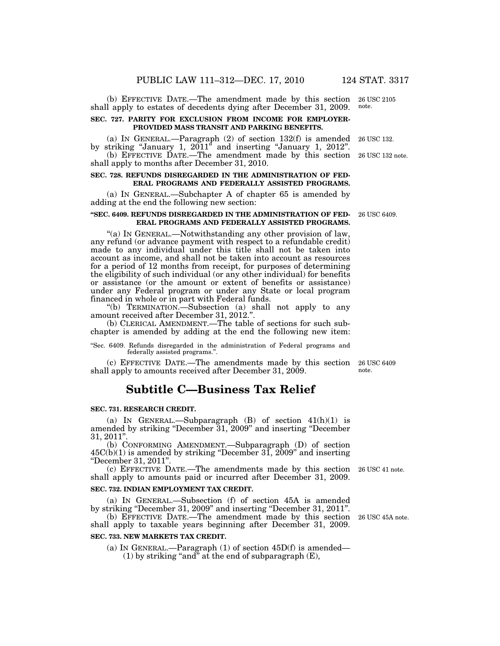(b) EFFECTIVE DATE.—The amendment made by this section shall apply to estates of decedents dying after December 31, 2009.

#### **SEC. 727. PARITY FOR EXCLUSION FROM INCOME FOR EMPLOYER-PROVIDED MASS TRANSIT AND PARKING BENEFITS.**

(a) IN GENERAL.—Paragraph (2) of section 132(f) is amended by striking "January 1, 2011" and inserting "January 1, 2012". 26 USC 132.

(b) EFFECTIVE DATE.—The amendment made by this section 26 USC 132 note. shall apply to months after December 31, 2010.

#### **SEC. 728. REFUNDS DISREGARDED IN THE ADMINISTRATION OF FED-ERAL PROGRAMS AND FEDERALLY ASSISTED PROGRAMS.**

(a) IN GENERAL.—Subchapter A of chapter 65 is amended by adding at the end the following new section:

### **''SEC. 6409. REFUNDS DISREGARDED IN THE ADMINISTRATION OF FED-ERAL PROGRAMS AND FEDERALLY ASSISTED PROGRAMS.**

''(a) IN GENERAL.—Notwithstanding any other provision of law, any refund (or advance payment with respect to a refundable credit) made to any individual under this title shall not be taken into account as income, and shall not be taken into account as resources for a period of 12 months from receipt, for purposes of determining the eligibility of such individual (or any other individual) for benefits or assistance (or the amount or extent of benefits or assistance) under any Federal program or under any State or local program financed in whole or in part with Federal funds.

''(b) TERMINATION.—Subsection (a) shall not apply to any amount received after December 31, 2012.''.

(b) CLERICAL AMENDMENT.—The table of sections for such subchapter is amended by adding at the end the following new item:

''Sec. 6409. Refunds disregarded in the administration of Federal programs and federally assisted programs."

(c) EFFECTIVE DATE.—The amendments made by this section shall apply to amounts received after December 31, 2009.

## **Subtitle C—Business Tax Relief**

## **SEC. 731. RESEARCH CREDIT.**

(a) IN GENERAL.—Subparagraph  $(B)$  of section  $41(h)(1)$  is amended by striking ''December 31, 2009'' and inserting ''December  $31, 2011"$ 

(b) CONFORMING AMENDMENT.—Subparagraph (D) of section  $45C(b)(1)$  is amended by striking "December 31, 2009" and inserting ''December 31, 2011''.

(c) EFFECTIVE DATE.—The amendments made by this section 26 USC 41 note. shall apply to amounts paid or incurred after December 31, 2009.

## **SEC. 732. INDIAN EMPLOYMENT TAX CREDIT.**

(a) IN GENERAL.—Subsection (f) of section 45A is amended by striking "December 31, 2009" and inserting "December 31, 2011". (b) EFFECTIVE DATE.—The amendment made by this section

shall apply to taxable years beginning after December 31, 2009.

## **SEC. 733. NEW MARKETS TAX CREDIT.**

(a) IN GENERAL.—Paragraph  $(1)$  of section  $45D(f)$  is amended— (1) by striking "and" at the end of subparagraph  $(E)$ ,

26 USC 45A note.

26 USC 6409 note.

26 USC 6409.

26 USC 2105 note.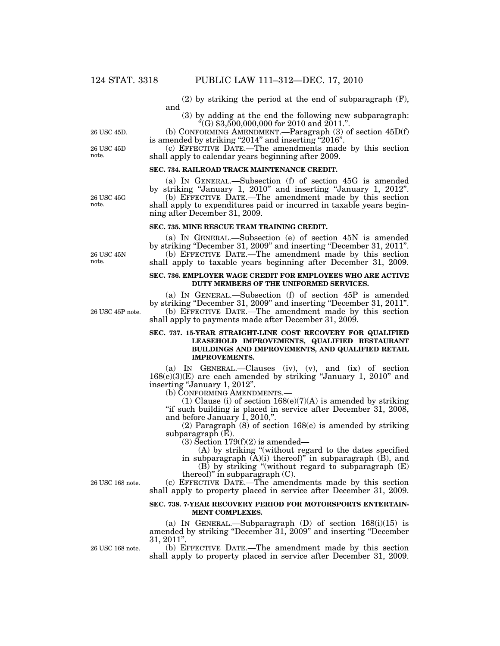(2) by striking the period at the end of subparagraph (F), and

(3) by adding at the end the following new subparagraph:  $\degree$ (G) \$3,500,000,000 for 2010 and 2011.".

(b) CONFORMING AMENDMENT.—Paragraph (3) of section 45D(f) is amended by striking "2014" and inserting "2016".

(c) EFFECTIVE DATE.—The amendments made by this section shall apply to calendar years beginning after 2009.

#### **SEC. 734. RAILROAD TRACK MAINTENANCE CREDIT.**

(a) IN GENERAL.—Subsection (f) of section 45G is amended by striking ''January 1, 2010'' and inserting ''January 1, 2012''. (b) EFFECTIVE DATE.—The amendment made by this section shall apply to expenditures paid or incurred in taxable years begin-

#### **SEC. 735. MINE RESCUE TEAM TRAINING CREDIT.**

ning after December 31, 2009.

(a) IN GENERAL.—Subsection (e) of section 45N is amended by striking ''December 31, 2009'' and inserting ''December 31, 2011''. (b) EFFECTIVE DATE.—The amendment made by this section shall apply to taxable years beginning after December 31, 2009.

#### **SEC. 736. EMPLOYER WAGE CREDIT FOR EMPLOYEES WHO ARE ACTIVE DUTY MEMBERS OF THE UNIFORMED SERVICES.**

(a) IN GENERAL.—Subsection (f) of section 45P is amended by striking ''December 31, 2009'' and inserting ''December 31, 2011''. (b) EFFECTIVE DATE.—The amendment made by this section shall apply to payments made after December 31, 2009.

### **SEC. 737. 15-YEAR STRAIGHT-LINE COST RECOVERY FOR QUALIFIED LEASEHOLD IMPROVEMENTS, QUALIFIED RESTAURANT BUILDINGS AND IMPROVEMENTS, AND QUALIFIED RETAIL IMPROVEMENTS.**

(a) IN GENERAL.—Clauses (iv), (v), and (ix) of section  $168(e)(3)(E)$  are each amended by striking "January 1, 2010" and inserting "January 1, 2012".

(b) CONFORMING AMENDMENTS.—

(1) Clause (i) of section  $168(e)(7)(A)$  is amended by striking ''if such building is placed in service after December 31, 2008, and before January 1, 2010,''.

(2) Paragraph (8) of section 168(e) is amended by striking subparagraph $(E)$ .

 $(3)$  Section 179 $(f)(2)$  is amended—

(A) by striking ''(without regard to the dates specified

in subparagraph  $(A)(i)$  thereof)" in subparagraph  $(B)$ , and  $(B)$  by striking "(without regard to subparagraph  $(E)$ ) thereof)'' in subparagraph (C).

(c) EFFECTIVE DATE.—The amendments made by this section shall apply to property placed in service after December 31, 2009.

## **SEC. 738. 7-YEAR RECOVERY PERIOD FOR MOTORSPORTS ENTERTAIN-MENT COMPLEXES.**

(a) IN GENERAL.—Subparagraph  $(D)$  of section  $168(i)(15)$  is amended by striking ''December 31, 2009'' and inserting ''December  $31,\,2011"$ 

(b) EFFECTIVE DATE.—The amendment made by this section shall apply to property placed in service after December 31, 2009.

26 USC 45D 26 USC 45D.

note.

26 USC 45G note.

26 USC 45N note.

26 USC 45P note.

26 USC 168 note.

26 USC 168 note.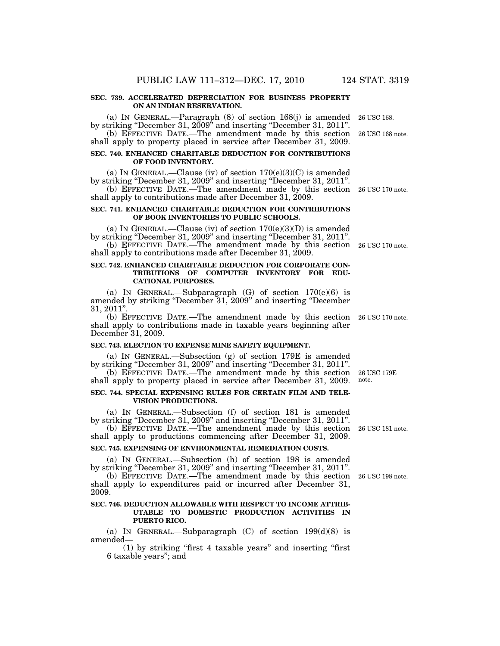### **SEC. 739. ACCELERATED DEPRECIATION FOR BUSINESS PROPERTY ON AN INDIAN RESERVATION.**

(a) IN GENERAL.—Paragraph (8) of section 168(j) is amended 26 USC 168. by striking "December 31, 2009" and inserting "December 31, 2011".

(b) EFFECTIVE DATE.—The amendment made by this section 26 USC 168 note. shall apply to property placed in service after December 31, 2009.

## **SEC. 740. ENHANCED CHARITABLE DEDUCTION FOR CONTRIBUTIONS OF FOOD INVENTORY.**

(a) IN GENERAL.—Clause (iv) of section  $170(e)(3)(C)$  is amended by striking "December 31, 2009" and inserting "December 31, 2011".

(b) EFFECTIVE DATE.—The amendment made by this section 26 USC 170 note. shall apply to contributions made after December 31, 2009.

#### **SEC. 741. ENHANCED CHARITABLE DEDUCTION FOR CONTRIBUTIONS OF BOOK INVENTORIES TO PUBLIC SCHOOLS.**

(a) IN GENERAL.—Clause (iv) of section  $170(e)(3)(D)$  is amended by striking "December 31, 2009" and inserting "December 31, 2011".

(b) EFFECTIVE DATE.—The amendment made by this section 26 USC 170 note. shall apply to contributions made after December 31, 2009.

## **SEC. 742. ENHANCED CHARITABLE DEDUCTION FOR CORPORATE CON-TRIBUTIONS OF COMPUTER INVENTORY FOR EDU-CATIONAL PURPOSES.**

(a) IN GENERAL.—Subparagraph  $(G)$  of section  $170(e)(6)$  is amended by striking ''December 31, 2009'' and inserting ''December 31, 2011''.

(b) EFFECTIVE DATE.—The amendment made by this section 26 USC 170 note. shall apply to contributions made in taxable years beginning after December 31, 2009.

## **SEC. 743. ELECTION TO EXPENSE MINE SAFETY EQUIPMENT.**

(a) IN GENERAL.—Subsection (g) of section 179E is amended by striking ''December 31, 2009'' and inserting ''December 31, 2011''.

(b) EFFECTIVE DATE.—The amendment made by this section shall apply to property placed in service after December 31, 2009.

## **SEC. 744. SPECIAL EXPENSING RULES FOR CERTAIN FILM AND TELE-VISION PRODUCTIONS.**

(a) IN GENERAL.—Subsection (f) of section 181 is amended by striking ''December 31, 2009'' and inserting ''December 31, 2011''.

(b) EFFECTIVE DATE.—The amendment made by this section 26 USC 181 note. shall apply to productions commencing after December 31, 2009.

## **SEC. 745. EXPENSING OF ENVIRONMENTAL REMEDIATION COSTS.**

(a) IN GENERAL.—Subsection (h) of section 198 is amended by striking ''December 31, 2009'' and inserting ''December 31, 2011''.

(b) EFFECTIVE DATE.—The amendment made by this section 26 USC 198 note. shall apply to expenditures paid or incurred after December 31, 2009.

## **SEC. 746. DEDUCTION ALLOWABLE WITH RESPECT TO INCOME ATTRIB-UTABLE TO DOMESTIC PRODUCTION ACTIVITIES IN PUERTO RICO.**

(a) IN GENERAL.—Subparagraph  $(C)$  of section 199(d)(8) is amended—

(1) by striking ''first 4 taxable years'' and inserting ''first 6 taxable years''; and

26 USC 179E note.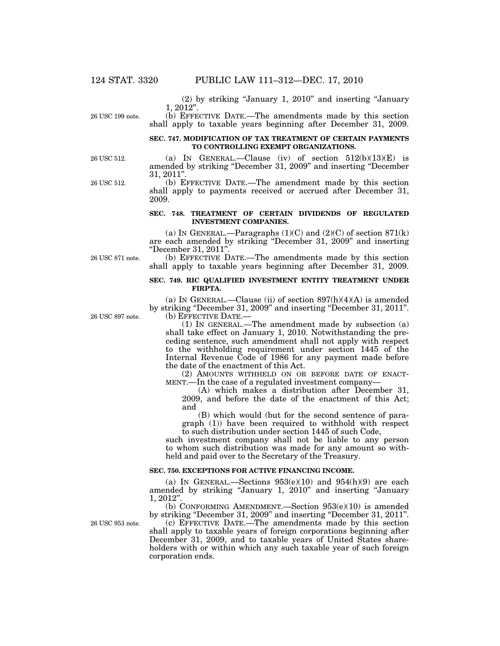(2) by striking ''January 1, 2010'' and inserting ''January 1, 2012''.

26 USC 199 note.

## (b) EFFECTIVE DATE.—The amendments made by this section shall apply to taxable years beginning after December 31, 2009.

## **SEC. 747. MODIFICATION OF TAX TREATMENT OF CERTAIN PAYMENTS TO CONTROLLING EXEMPT ORGANIZATIONS.**

(a) IN GENERAL.—Clause (iv) of section  $512(b)(13)(E)$  is amended by striking ''December 31, 2009'' and inserting ''December 31, 2011''.

(b) EFFECTIVE DATE.—The amendment made by this section shall apply to payments received or accrued after December 31, 2009.

## **SEC. 748. TREATMENT OF CERTAIN DIVIDENDS OF REGULATED INVESTMENT COMPANIES.**

(a) IN GENERAL.—Paragraphs  $(1)(C)$  and  $(2)(C)$  of section 871(k) are each amended by striking ''December 31, 2009'' and inserting ''December 31, 2011''.

(b) EFFECTIVE DATE.—The amendments made by this section shall apply to taxable years beginning after December 31, 2009.

## **SEC. 749. RIC QUALIFIED INVESTMENT ENTITY TREATMENT UNDER FIRPTA.**

(a) IN GENERAL.—Clause (ii) of section  $897(h)(4)(A)$  is amended by striking "December 31, 2009" and inserting "December 31, 2011". (b) EFFECTIVE DATE.—

(1) IN GENERAL.—The amendment made by subsection (a) shall take effect on January 1, 2010. Notwithstanding the preceding sentence, such amendment shall not apply with respect to the withholding requirement under section 1445 of the Internal Revenue Code of 1986 for any payment made before the date of the enactment of this Act.

(2) AMOUNTS WITHHELD ON OR BEFORE DATE OF ENACT-MENT.—In the case of a regulated investment company—

(A) which makes a distribution after December 31, 2009, and before the date of the enactment of this Act; and

(B) which would (but for the second sentence of paragraph (1)) have been required to withhold with respect to such distribution under section 1445 of such Code,

such investment company shall not be liable to any person to whom such distribution was made for any amount so withheld and paid over to the Secretary of the Treasury.

## **SEC. 750. EXCEPTIONS FOR ACTIVE FINANCING INCOME.**

(a) IN GENERAL.—Sections  $953(e)(10)$  and  $954(h)(9)$  are each amended by striking ''January 1, 2010'' and inserting ''January 1, 2012''.

(b) CONFORMING AMENDMENT.—Section 953(e)(10) is amended by striking ''December 31, 2009'' and inserting ''December 31, 2011''.

(c) EFFECTIVE DATE.—The amendments made by this section shall apply to taxable years of foreign corporations beginning after December 31, 2009, and to taxable years of United States shareholders with or within which any such taxable year of such foreign corporation ends.

26 USC 897 note.

26 USC 953 note.

26 USC 871 note.

26 USC 512.

26 USC 512.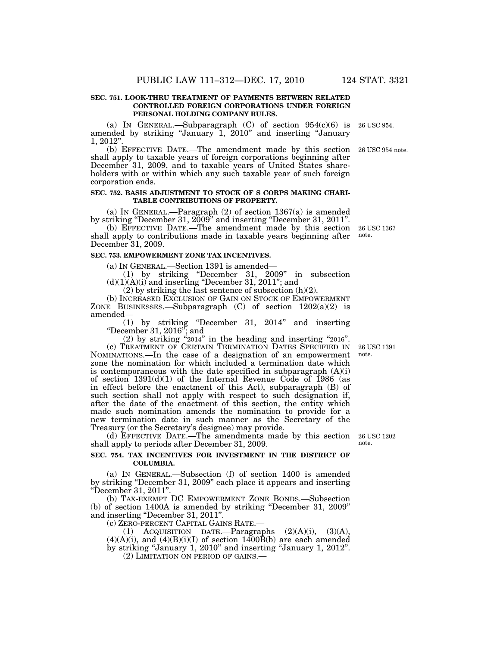### **SEC. 751. LOOK-THRU TREATMENT OF PAYMENTS BETWEEN RELATED CONTROLLED FOREIGN CORPORATIONS UNDER FOREIGN PERSONAL HOLDING COMPANY RULES.**

(a) IN GENERAL.—Subparagraph  $(C)$  of section  $954(c)(6)$  is amended by striking ''January 1, 2010'' and inserting ''January 1, 2012''. 26 USC 954.

(b) EFFECTIVE DATE.—The amendment made by this section 26 USC 954 note. shall apply to taxable years of foreign corporations beginning after December 31, 2009, and to taxable years of United States shareholders with or within which any such taxable year of such foreign corporation ends.

#### **SEC. 752. BASIS ADJUSTMENT TO STOCK OF S CORPS MAKING CHARI-TABLE CONTRIBUTIONS OF PROPERTY.**

(a) IN GENERAL.—Paragraph (2) of section 1367(a) is amended by striking "December 31, 2009" and inserting "December 31, 2011".

(b) EFFECTIVE DATE.—The amendment made by this section 26 USC 1367 shall apply to contributions made in taxable years beginning after December 31, 2009.

#### **SEC. 753. EMPOWERMENT ZONE TAX INCENTIVES.**

(a) IN GENERAL.—Section 1391 is amended—

(1) by striking ''December 31, 2009'' in subsection  $(d)(1)(A)(i)$  and inserting "December 31, 2011"; and

 $(2)$  by striking the last sentence of subsection  $(h)(2)$ .

(b) INCREASED EXCLUSION OF GAIN ON STOCK OF EMPOWERMENT ZONE BUSINESSES.—Subparagraph  $(C)$  of section  $1202(a)(2)$  is amended—

(1) by striking ''December 31, 2014'' and inserting ''December 31, 2016''; and

(2) by striking ''2014'' in the heading and inserting ''2016''.

(c) TREATMENT OF CERTAIN TERMINATION DATES SPECIFIED IN NOMINATIONS.—In the case of a designation of an empowerment zone the nomination for which included a termination date which is contemporaneous with the date specified in subparagraph  $(A)(i)$ of section  $1391(d)(1)$  of the Internal Revenue Code of 1986 (as in effect before the enactment of this Act), subparagraph (B) of such section shall not apply with respect to such designation if, after the date of the enactment of this section, the entity which made such nomination amends the nomination to provide for a new termination date in such manner as the Secretary of the Treasury (or the Secretary's designee) may provide.

(d) EFFECTIVE DATE.—The amendments made by this section shall apply to periods after December 31, 2009.

## **SEC. 754. TAX INCENTIVES FOR INVESTMENT IN THE DISTRICT OF COLUMBIA.**

(a) IN GENERAL.—Subsection (f) of section 1400 is amended by striking ''December 31, 2009'' each place it appears and inserting ''December 31, 2011''.

(b) TAX-EXEMPT DC EMPOWERMENT ZONE BONDS.—Subsection (b) of section 1400A is amended by striking ''December 31, 2009'' and inserting ''December 31, 2011''.

(c) ZERO-PERCENT CAPITAL GAINS RATE.—

(1) ACQUISITION DATE.—Paragraphs  $(2)(A)(i)$ ,  $(3)(A)$ ,  $(4)(A)(i)$ , and  $(4)(B)(i)(I)$  of section 1400B(b) are each amended by striking ''January 1, 2010'' and inserting ''January 1, 2012''. (2) LIMITATION ON PERIOD OF GAINS.—

note.

26 USC 1391 note.

26 USC 1202 note.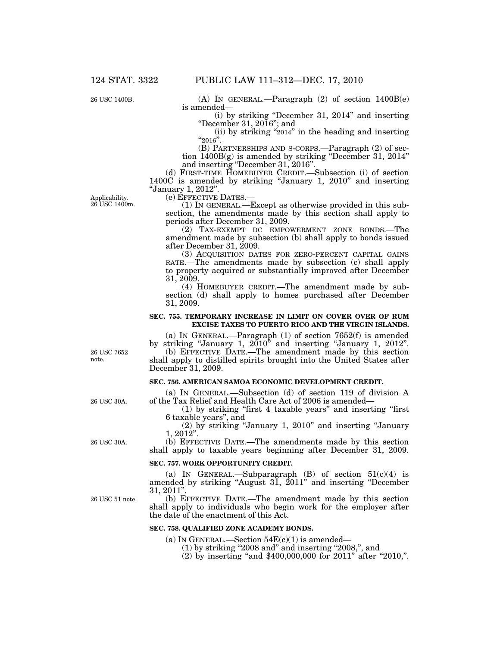26 USC 1400B.

(A) IN GENERAL.—Paragraph (2) of section 1400B(e) is amended—

(i) by striking ''December 31, 2014'' and inserting ''December 31, 2016''; and

(ii) by striking " $2014$ " in the heading and inserting " $2016$ ".

(B) PARTNERSHIPS AND S-CORPS.—Paragraph (2) of section 1400B(g) is amended by striking ''December 31, 2014'' and inserting ''December 31, 2016''.

(d) FIRST-TIME HOMEBUYER CREDIT.—Subsection (i) of section 1400C is amended by striking "January 1, 2010" and inserting "January 1, 2012".<br>
(e) EFFECTIVE DATES.-

Applicability. 26 USC 1400m.

(1) IN GENERAL.—Except as otherwise provided in this subsection, the amendments made by this section shall apply to periods after December 31, 2009.

(2) TAX-EXEMPT DC EMPOWERMENT ZONE BONDS.—The amendment made by subsection (b) shall apply to bonds issued after December 31, 2009.

(3) ACQUISITION DATES FOR ZERO-PERCENT CAPITAL GAINS RATE.—The amendments made by subsection (c) shall apply to property acquired or substantially improved after December 31, 2009.

(4) HOMEBUYER CREDIT.—The amendment made by subsection (d) shall apply to homes purchased after December 31, 2009.

#### **SEC. 755. TEMPORARY INCREASE IN LIMIT ON COVER OVER OF RUM EXCISE TAXES TO PUERTO RICO AND THE VIRGIN ISLANDS.**

(a) IN GENERAL.—Paragraph (1) of section 7652(f) is amended by striking ''January 1, 2010'' and inserting ''January 1, 2012''.

(b) EFFECTIVE DATE.—The amendment made by this section shall apply to distilled spirits brought into the United States after December 31, 2009.

## **SEC. 756. AMERICAN SAMOA ECONOMIC DEVELOPMENT CREDIT.**

(a) IN GENERAL.—Subsection (d) of section 119 of division A of the Tax Relief and Health Care Act of 2006 is amended—

(1) by striking ''first 4 taxable years'' and inserting ''first 6 taxable years'', and

(2) by striking ''January 1, 2010'' and inserting ''January 1, 2012''.

(b) EFFECTIVE DATE.—The amendments made by this section shall apply to taxable years beginning after December 31, 2009.

#### **SEC. 757. WORK OPPORTUNITY CREDIT.**

(a) IN GENERAL.—Subparagraph  $(B)$  of section  $51(c)(4)$  is amended by striking ''August 31, 2011'' and inserting ''December  $31,\,2011".$ 

(b) EFFECTIVE DATE.—The amendment made by this section shall apply to individuals who begin work for the employer after the date of the enactment of this Act.

### **SEC. 758. QUALIFIED ZONE ACADEMY BONDS.**

(a) IN GENERAL.—Section  $54E(c)(1)$  is amended—

- $(1)$  by striking "2008 and" and inserting "2008,", and
- (2) by inserting "and \$400,000,000 for 2011" after "2010,".

26 USC 7652 note.

26 USC 30A.

26 USC 30A.

26 USC 51 note.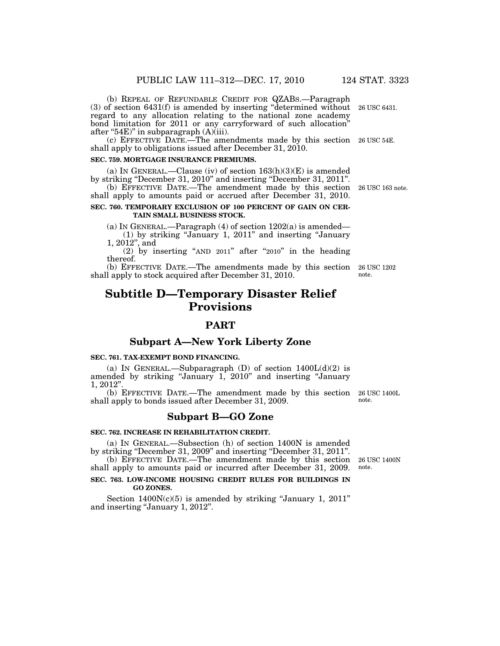(b) REPEAL OF REFUNDABLE CREDIT FOR QZABS.—Paragraph (3) of section 6431(f) is amended by inserting ''determined without regard to any allocation relating to the national zone academy bond limitation for 2011 or any carryforward of such allocation'' after "54E)" in subparagraph  $(A)$ (iii). 26 USC 6431.

(c) EFFECTIVE DATE.—The amendments made by this section 26 USC 54E. shall apply to obligations issued after December 31, 2010.

## **SEC. 759. MORTGAGE INSURANCE PREMIUMS.**

(a) IN GENERAL.—Clause (iv) of section  $163(h)(3)(E)$  is amended by striking ''December 31, 2010'' and inserting ''December 31, 2011''.

(b) EFFECTIVE DATE.—The amendment made by this section 26 USC 163 note. shall apply to amounts paid or accrued after December 31, 2010.

## **SEC. 760. TEMPORARY EXCLUSION OF 100 PERCENT OF GAIN ON CER-TAIN SMALL BUSINESS STOCK.**

(a) IN GENERAL.—Paragraph  $(4)$  of section  $1202(a)$  is amended— (1) by striking ''January 1, 2011'' and inserting ''January 1, 2012'', and

(2) by inserting "AND  $2011$ " after " $2010$ " in the heading thereof.

(b) EFFECTIVE DATE.—The amendments made by this section 26 USC 1202 shall apply to stock acquired after December 31, 2010. note.

# **Subtitle D—Temporary Disaster Relief Provisions**

## **PART**

## **Subpart A—New York Liberty Zone**

## **SEC. 761. TAX-EXEMPT BOND FINANCING.**

(a) IN GENERAL.—Subparagraph (D) of section  $1400L(d)(2)$  is amended by striking "January 1, 2010" and inserting "January 1, 2012''.

(b) EFFECTIVE DATE.—The amendment made by this section shall apply to bonds issued after December 31, 2009. 26 USC 1400L note.

## **Subpart B—GO Zone**

#### **SEC. 762. INCREASE IN REHABILITATION CREDIT.**

(a) IN GENERAL.—Subsection (h) of section 1400N is amended by striking ''December 31, 2009'' and inserting ''December 31, 2011''.

(b) EFFECTIVE DATE.—The amendment made by this section shall apply to amounts paid or incurred after December 31, 2009.

## **SEC. 763. LOW-INCOME HOUSING CREDIT RULES FOR BUILDINGS IN GO ZONES.**

Section  $1400N(c)(5)$  is amended by striking "January 1, 2011" and inserting ''January 1, 2012''.

26 USC 1400N note.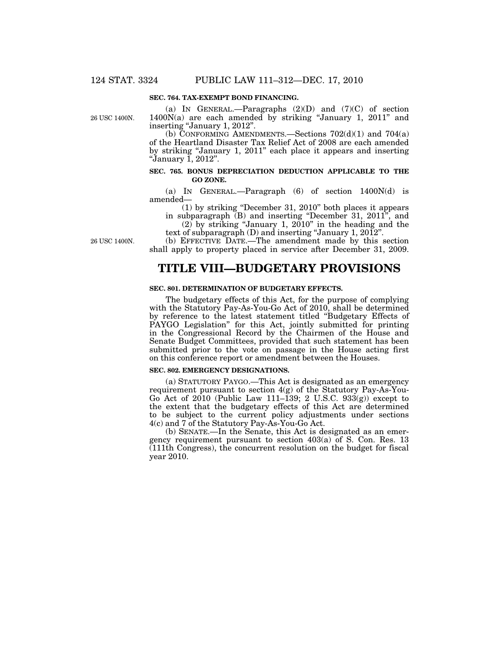## **SEC. 764. TAX-EXEMPT BOND FINANCING.**

26 USC 1400N.

(a) IN GENERAL.—Paragraphs  $(2)(D)$  and  $(7)(C)$  of section  $1400N(a)$  are each amended by striking "January 1, 2011" and inserting "January 1, 2012".

(b) CONFORMING AMENDMENTS.—Sections  $702(d)(1)$  and  $704(a)$ of the Heartland Disaster Tax Relief Act of 2008 are each amended by striking ''January 1, 2011'' each place it appears and inserting ''January 1, 2012''.

## **SEC. 765. BONUS DEPRECIATION DEDUCTION APPLICABLE TO THE GO ZONE.**

(a) IN GENERAL.—Paragraph (6) of section 1400N(d) is amended—

(1) by striking ''December 31, 2010'' both places it appears in subparagraph (B) and inserting "December 31, 2011", and

(2) by striking ''January 1, 2010'' in the heading and the text of subparagraph (D) and inserting ''January 1, 2012''.

(b) EFFECTIVE DATE.—The amendment made by this section shall apply to property placed in service after December 31, 2009.

## **TITLE VIII—BUDGETARY PROVISIONS**

## **SEC. 801. DETERMINATION OF BUDGETARY EFFECTS.**

The budgetary effects of this Act, for the purpose of complying with the Statutory Pay-As-You-Go Act of 2010, shall be determined by reference to the latest statement titled ''Budgetary Effects of PAYGO Legislation'' for this Act, jointly submitted for printing in the Congressional Record by the Chairmen of the House and Senate Budget Committees, provided that such statement has been submitted prior to the vote on passage in the House acting first on this conference report or amendment between the Houses.

#### **SEC. 802. EMERGENCY DESIGNATIONS.**

(a) STATUTORY PAYGO.—This Act is designated as an emergency requirement pursuant to section 4(g) of the Statutory Pay-As-You-Go Act of  $2010$  (Public Law 111–139; 2 U.S.C. 933(g)) except to the extent that the budgetary effects of this Act are determined to be subject to the current policy adjustments under sections 4(c) and 7 of the Statutory Pay-As-You-Go Act.

(b) SENATE.—In the Senate, this Act is designated as an emergency requirement pursuant to section 403(a) of S. Con. Res. 13 (111th Congress), the concurrent resolution on the budget for fiscal year 2010.

26 USC 1400N.